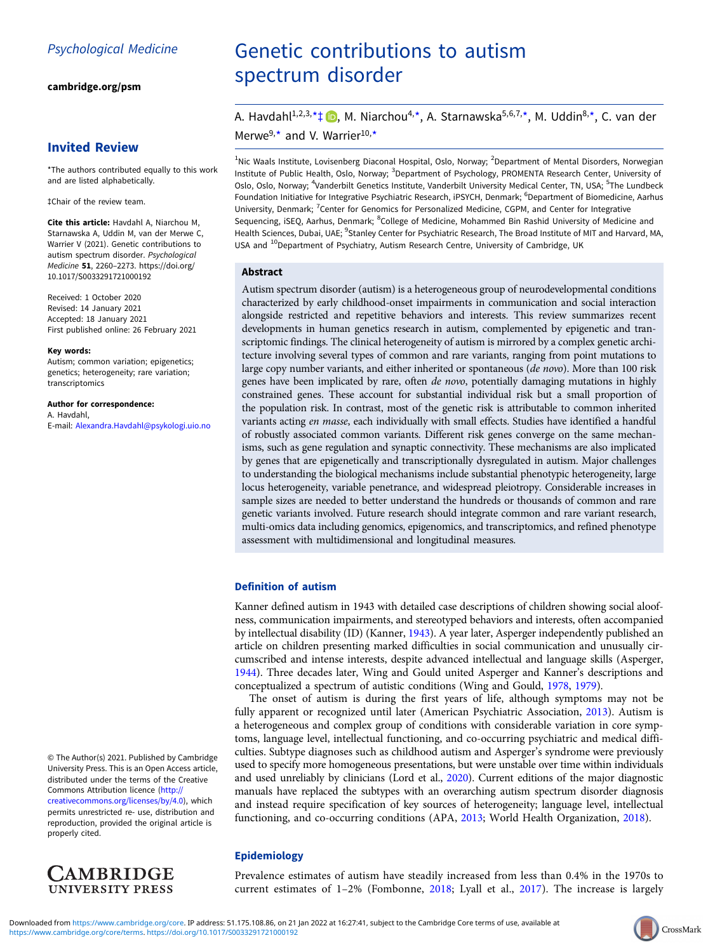[cambridge.org/psm](https://www.cambridge.org/psm)

# Invited Review

\*The authors contributed equally to this work and are listed alphabetically.

‡Chair of the review team.

Cite this article: Havdahl A, Niarchou M, Starnawska A, Uddin M, van der Merwe C, Warrier V (2021). Genetic contributions to autism spectrum disorder. Psychological Medicine 51, 2260–2273. [https://doi.org/](https://doi.org/10.1017/S0033291721000192) [10.1017/S0033291721000192](https://doi.org/10.1017/S0033291721000192)

Received: 1 October 2020 Revised: 14 January 2021 Accepted: 18 January 2021 First published online: 26 February 2021

#### Key words:

Autism; common variation; epigenetics; genetics; heterogeneity; rare variation; transcriptomics

Author for correspondence: A. Havdahl, E-mail: [Alexandra.Havdahl@psykologi.uio.no](mailto:Alexandra.Havdahl@psykologi.uio.no)

© The Author(s) 2021. Published by Cambridge University Press. This is an Open Access article, distributed under the terms of the Creative Commons Attribution licence ([http://](http://creativecommons.org/licenses/by/4.0) [creativecommons.org/licenses/by/4.0\)](http://creativecommons.org/licenses/by/4.0), which permits unrestricted re- use, distribution and reproduction, provided the original article is properly cited.



# Genetic contributions to autism spectrum disorder

A. Havdahl<sup>1[,](https://orcid.org/0000-0002-9268-0423)2,3,\*</sup> $\downarrow$  **D**, M. Niarchou<sup>4,\*</sup>, A. Starnawska<sup>5,6,7,\*</sup>, M. Uddin<sup>8,\*</sup>, C. van der Merwe $9, \star$  and V. Warrier $10, \star$ 

<sup>1</sup>Nic Waals Institute, Lovisenberg Diaconal Hospital, Oslo, Norway; <sup>2</sup>Department of Mental Disorders, Norwegian Institute of Public Health, Oslo, Norway; <sup>3</sup>Department of Psychology, PROMENTA Research Center, University of Oslo, Oslo, Norway; <sup>4</sup>Vanderbilt Genetics Institute, Vanderbilt University Medical Center, TN, USA; <sup>5</sup>The Lundbeck Foundation Initiative for Integrative Psychiatric Research, iPSYCH, Denmark; <sup>6</sup>Department of Biomedicine, Aarhus University, Denmark; <sup>7</sup>Center for Genomics for Personalized Medicine, CGPM, and Center for Integrative Sequencing, iSEQ, Aarhus, Denmark; <sup>8</sup>College of Medicine, Mohammed Bin Rashid University of Medicine and Health Sciences, Dubai, UAE; <sup>9</sup>Stanley Center for Psychiatric Research, The Broad Institute of MIT and Harvard, MA, USA and <sup>10</sup>Department of Psychiatry, Autism Research Centre, University of Cambridge, UK

## Abstract

Autism spectrum disorder (autism) is a heterogeneous group of neurodevelopmental conditions characterized by early childhood-onset impairments in communication and social interaction alongside restricted and repetitive behaviors and interests. This review summarizes recent developments in human genetics research in autism, complemented by epigenetic and transcriptomic findings. The clinical heterogeneity of autism is mirrored by a complex genetic architecture involving several types of common and rare variants, ranging from point mutations to large copy number variants, and either inherited or spontaneous (de novo). More than 100 risk genes have been implicated by rare, often de novo, potentially damaging mutations in highly constrained genes. These account for substantial individual risk but a small proportion of the population risk. In contrast, most of the genetic risk is attributable to common inherited variants acting en masse, each individually with small effects. Studies have identified a handful of robustly associated common variants. Different risk genes converge on the same mechanisms, such as gene regulation and synaptic connectivity. These mechanisms are also implicated by genes that are epigenetically and transcriptionally dysregulated in autism. Major challenges to understanding the biological mechanisms include substantial phenotypic heterogeneity, large locus heterogeneity, variable penetrance, and widespread pleiotropy. Considerable increases in sample sizes are needed to better understand the hundreds or thousands of common and rare genetic variants involved. Future research should integrate common and rare variant research, multi-omics data including genomics, epigenomics, and transcriptomics, and refined phenotype assessment with multidimensional and longitudinal measures.

# Definition of autism

Kanner defined autism in 1943 with detailed case descriptions of children showing social aloofness, communication impairments, and stereotyped behaviors and interests, often accompanied by intellectual disability (ID) (Kanner, [1943](#page-10-0)). A year later, Asperger independently published an article on children presenting marked difficulties in social communication and unusually circumscribed and intense interests, despite advanced intellectual and language skills (Asperger, [1944\)](#page-9-0). Three decades later, Wing and Gould united Asperger and Kanner's descriptions and conceptualized a spectrum of autistic conditions (Wing and Gould, [1978,](#page-13-0) [1979](#page-13-0)).

The onset of autism is during the first years of life, although symptoms may not be fully apparent or recognized until later (American Psychiatric Association, [2013](#page-8-0)). Autism is a heterogeneous and complex group of conditions with considerable variation in core symptoms, language level, intellectual functioning, and co-occurring psychiatric and medical difficulties. Subtype diagnoses such as childhood autism and Asperger's syndrome were previously used to specify more homogeneous presentations, but were unstable over time within individuals and used unreliably by clinicians (Lord et al., [2020](#page-11-0)). Current editions of the major diagnostic manuals have replaced the subtypes with an overarching autism spectrum disorder diagnosis and instead require specification of key sources of heterogeneity; language level, intellectual functioning, and co-occurring conditions (APA, [2013](#page-8-0); World Health Organization, [2018](#page-13-0)).

# Epidemiology

Prevalence estimates of autism have steadily increased from less than 0.4% in the 1970s to current estimates of 1–2% (Fombonne, [2018](#page-9-0); Lyall et al., [2017\)](#page-11-0). The increase is largely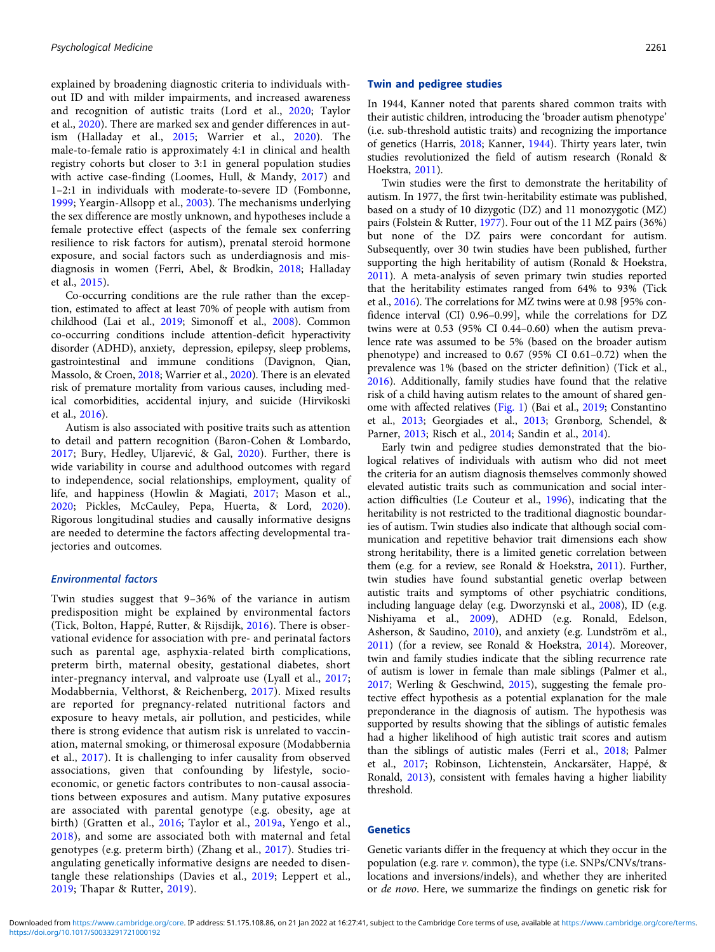explained by broadening diagnostic criteria to individuals without ID and with milder impairments, and increased awareness and recognition of autistic traits (Lord et al., [2020](#page-11-0); Taylor et al., [2020\)](#page-12-0). There are marked sex and gender differences in autism (Halladay et al., [2015](#page-10-0); Warrier et al., [2020](#page-13-0)). The male-to-female ratio is approximately 4:1 in clinical and health registry cohorts but closer to 3:1 in general population studies with active case-finding (Loomes, Hull, & Mandy, [2017\)](#page-11-0) and 1–2:1 in individuals with moderate-to-severe ID (Fombonne, [1999](#page-9-0); Yeargin-Allsopp et al., [2003\)](#page-13-0). The mechanisms underlying the sex difference are mostly unknown, and hypotheses include a female protective effect (aspects of the female sex conferring resilience to risk factors for autism), prenatal steroid hormone exposure, and social factors such as underdiagnosis and misdiagnosis in women (Ferri, Abel, & Brodkin, [2018;](#page-9-0) Halladay et al., [2015\)](#page-10-0).

Co-occurring conditions are the rule rather than the exception, estimated to affect at least 70% of people with autism from childhood (Lai et al., [2019](#page-10-0); Simonoff et al., [2008](#page-12-0)). Common co-occurring conditions include attention-deficit hyperactivity disorder (ADHD), anxiety, depression, epilepsy, sleep problems, gastrointestinal and immune conditions (Davignon, Qian, Massolo, & Croen, [2018](#page-9-0); Warrier et al., [2020\)](#page-13-0). There is an elevated risk of premature mortality from various causes, including medical comorbidities, accidental injury, and suicide (Hirvikoski et al., [2016\)](#page-10-0).

Autism is also associated with positive traits such as attention to detail and pattern recognition (Baron-Cohen & Lombardo, [2017](#page-9-0); Bury, Hedley, Uljarević, & Gal, [2020\)](#page-9-0). Further, there is wide variability in course and adulthood outcomes with regard to independence, social relationships, employment, quality of life, and happiness (Howlin & Magiati, [2017;](#page-10-0) Mason et al., [2020](#page-11-0); Pickles, McCauley, Pepa, Huerta, & Lord, [2020\)](#page-11-0). Rigorous longitudinal studies and causally informative designs are needed to determine the factors affecting developmental trajectories and outcomes.

## Environmental factors

Twin studies suggest that 9–36% of the variance in autism predisposition might be explained by environmental factors (Tick, Bolton, Happé, Rutter, & Rijsdijk, [2016](#page-12-0)). There is observational evidence for association with pre- and perinatal factors such as parental age, asphyxia-related birth complications, preterm birth, maternal obesity, gestational diabetes, short inter-pregnancy interval, and valproate use (Lyall et al., [2017;](#page-11-0) Modabbernia, Velthorst, & Reichenberg, [2017](#page-11-0)). Mixed results are reported for pregnancy-related nutritional factors and exposure to heavy metals, air pollution, and pesticides, while there is strong evidence that autism risk is unrelated to vaccination, maternal smoking, or thimerosal exposure (Modabbernia et al., [2017\)](#page-11-0). It is challenging to infer causality from observed associations, given that confounding by lifestyle, socioeconomic, or genetic factors contributes to non-causal associations between exposures and autism. Many putative exposures are associated with parental genotype (e.g. obesity, age at birth) (Gratten et al., [2016](#page-10-0); Taylor et al., [2019a](#page-12-0), Yengo et al., [2018](#page-13-0)), and some are associated both with maternal and fetal genotypes (e.g. preterm birth) (Zhang et al., [2017\)](#page-13-0). Studies triangulating genetically informative designs are needed to disentangle these relationships (Davies et al., [2019;](#page-9-0) Leppert et al., [2019](#page-11-0); Thapar & Rutter, [2019](#page-12-0)).

#### Twin and pedigree studies

In 1944, Kanner noted that parents shared common traits with their autistic children, introducing the 'broader autism phenotype' (i.e. sub-threshold autistic traits) and recognizing the importance of genetics (Harris, [2018](#page-10-0); Kanner, [1944](#page-10-0)). Thirty years later, twin studies revolutionized the field of autism research (Ronald & Hoekstra, [2011\)](#page-11-0).

Twin studies were the first to demonstrate the heritability of autism. In 1977, the first twin-heritability estimate was published, based on a study of 10 dizygotic (DZ) and 11 monozygotic (MZ) pairs (Folstein & Rutter, [1977\)](#page-9-0). Four out of the 11 MZ pairs (36%) but none of the DZ pairs were concordant for autism. Subsequently, over 30 twin studies have been published, further supporting the high heritability of autism (Ronald & Hoekstra, [2011](#page-11-0)). A meta-analysis of seven primary twin studies reported that the heritability estimates ranged from 64% to 93% (Tick et al., [2016](#page-12-0)). The correlations for MZ twins were at 0.98 [95% confidence interval (CI) 0.96–0.99], while the correlations for DZ twins were at 0.53 (95% CI 0.44–0.60) when the autism prevalence rate was assumed to be 5% (based on the broader autism phenotype) and increased to 0.67 (95% CI 0.61–0.72) when the prevalence was 1% (based on the stricter definition) (Tick et al., [2016](#page-12-0)). Additionally, family studies have found that the relative risk of a child having autism relates to the amount of shared genome with affected relatives ([Fig. 1\)](#page-2-0) (Bai et al., [2019;](#page-9-0) Constantino et al., [2013;](#page-9-0) Georgiades et al., [2013;](#page-9-0) Grønborg, Schendel, & Parner, [2013](#page-10-0); Risch et al., [2014](#page-11-0); Sandin et al., [2014](#page-12-0)).

Early twin and pedigree studies demonstrated that the biological relatives of individuals with autism who did not meet the criteria for an autism diagnosis themselves commonly showed elevated autistic traits such as communication and social interaction difficulties (Le Couteur et al., [1996](#page-10-0)), indicating that the heritability is not restricted to the traditional diagnostic boundaries of autism. Twin studies also indicate that although social communication and repetitive behavior trait dimensions each show strong heritability, there is a limited genetic correlation between them (e.g. for a review, see Ronald & Hoekstra, [2011\)](#page-11-0). Further, twin studies have found substantial genetic overlap between autistic traits and symptoms of other psychiatric conditions, including language delay (e.g. Dworzynski et al., [2008](#page-9-0)), ID (e.g. Nishiyama et al., [2009\)](#page-11-0), ADHD (e.g. Ronald, Edelson, Asherson, & Saudino, [2010](#page-11-0)), and anxiety (e.g. Lundström et al., [2011](#page-11-0)) (for a review, see Ronald & Hoekstra, [2014](#page-12-0)). Moreover, twin and family studies indicate that the sibling recurrence rate of autism is lower in female than male siblings (Palmer et al., [2017](#page-11-0); Werling & Geschwind, [2015](#page-13-0)), suggesting the female protective effect hypothesis as a potential explanation for the male preponderance in the diagnosis of autism. The hypothesis was supported by results showing that the siblings of autistic females had a higher likelihood of high autistic trait scores and autism than the siblings of autistic males (Ferri et al., [2018;](#page-9-0) Palmer et al., [2017](#page-11-0); Robinson, Lichtenstein, Anckarsäter, Happé, & Ronald, [2013](#page-11-0)), consistent with females having a higher liability threshold.

## Genetics

Genetic variants differ in the frequency at which they occur in the population (e.g. rare v. common), the type (i.e. SNPs/CNVs/translocations and inversions/indels), and whether they are inherited or de novo. Here, we summarize the findings on genetic risk for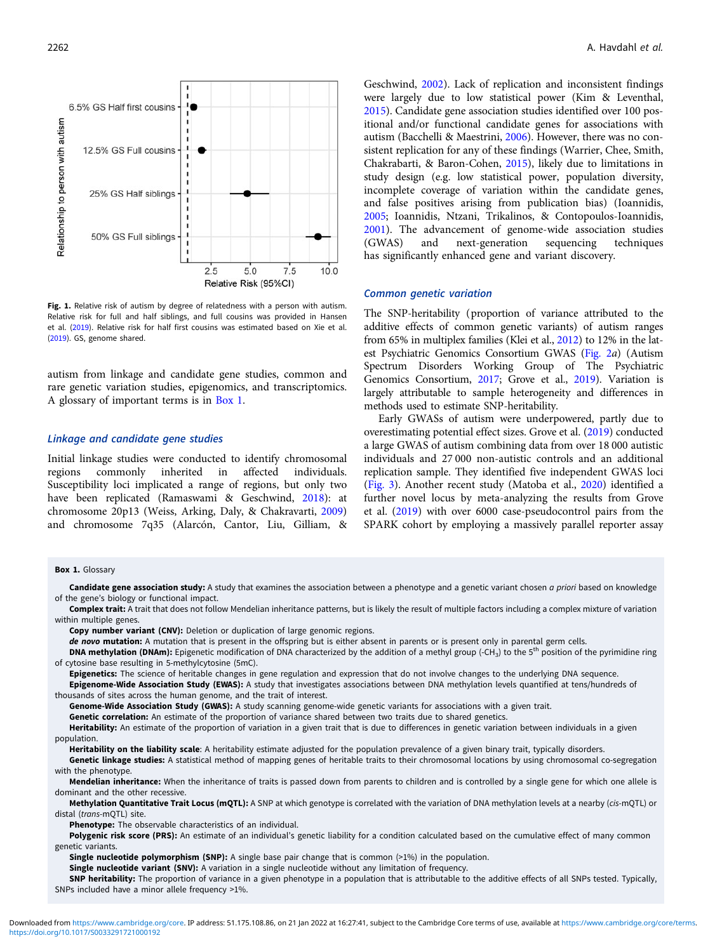

Fig. 1. Relative risk of autism by degree of relatedness with a person with autism. Relative risk for full and half siblings, and full cousins was provided in Hansen et al. [\(2019](#page-10-0)). Relative risk for half first cousins was estimated based on Xie et al. ([2019\)](#page-13-0). GS, genome shared.

autism from linkage and candidate gene studies, common and rare genetic variation studies, epigenomics, and transcriptomics. A glossary of important terms is in Box 1.

## Linkage and candidate gene studies

Initial linkage studies were conducted to identify chromosomal regions commonly inherited in affected individuals. Susceptibility loci implicated a range of regions, but only two have been replicated (Ramaswami & Geschwind, [2018](#page-11-0)): at chromosome 20p13 (Weiss, Arking, Daly, & Chakravarti, [2009\)](#page-13-0) and chromosome 7q35 (Alarcón, Cantor, Liu, Gilliam, &

#### Box 1. Glossary

<span id="page-2-0"></span>2262 A. Havdahl et al.

Geschwind, [2002\)](#page-8-0). Lack of replication and inconsistent findings were largely due to low statistical power (Kim & Leventhal, [2015\)](#page-10-0). Candidate gene association studies identified over 100 positional and/or functional candidate genes for associations with autism (Bacchelli & Maestrini, [2006](#page-9-0)). However, there was no consistent replication for any of these findings (Warrier, Chee, Smith, Chakrabarti, & Baron-Cohen, [2015\)](#page-13-0), likely due to limitations in study design (e.g. low statistical power, population diversity, incomplete coverage of variation within the candidate genes, and false positives arising from publication bias) (Ioannidis, [2005;](#page-10-0) Ioannidis, Ntzani, Trikalinos, & Contopoulos-Ioannidis, [2001\)](#page-10-0). The advancement of genome-wide association studies<br>(GWAS) and next-generation sequencing techniques and next-generation sequencing techniques has significantly enhanced gene and variant discovery.

#### Common genetic variation

The SNP-heritability (proportion of variance attributed to the additive effects of common genetic variants) of autism ranges from 65% in multiplex families (Klei et al., [2012](#page-10-0)) to 12% in the latest Psychiatric Genomics Consortium GWAS [\(Fig. 2](#page-3-0)a) (Autism Spectrum Disorders Working Group of The Psychiatric Genomics Consortium, [2017](#page-9-0); Grove et al., [2019](#page-10-0)). Variation is largely attributable to sample heterogeneity and differences in methods used to estimate SNP-heritability.

Early GWASs of autism were underpowered, partly due to overestimating potential effect sizes. Grove et al. [\(2019\)](#page-10-0) conducted a large GWAS of autism combining data from over 18 000 autistic individuals and 27 000 non-autistic controls and an additional replication sample. They identified five independent GWAS loci ([Fig. 3\)](#page-4-0). Another recent study (Matoba et al., [2020](#page-11-0)) identified a further novel locus by meta-analyzing the results from Grove et al. ([2019](#page-10-0)) with over 6000 case-pseudocontrol pairs from the SPARK cohort by employing a massively parallel reporter assay

Candidate gene association study: A study that examines the association between a phenotype and a genetic variant chosen a priori based on knowledge of the gene's biology or functional impact. Complex trait: A trait that does not follow Mendelian inheritance patterns, but is likely the result of multiple factors including a complex mixture of variation within multiple genes.

Copy number variant (CNV): Deletion or duplication of large genomic regions.

de novo mutation: A mutation that is present in the offspring but is either absent in parents or is present only in parental germ cells.

- DNA methylation (DNAm): Epigenetic modification of DNA characterized by the addition of a methyl group (-CH<sub>3</sub>) to the 5<sup>th</sup> position of the pyrimidine ring of cytosine base resulting in 5-methylcytosine (5mC).
- Epigenetics: The science of heritable changes in gene regulation and expression that do not involve changes to the underlying DNA sequence. Epigenome-Wide Association Study (EWAS): A study that investigates associations between DNA methylation levels quantified at tens/hundreds of thousands of sites across the human genome, and the trait of interest.

Genome-Wide Association Study (GWAS): A study scanning genome-wide genetic variants for associations with a given trait.

Genetic correlation: An estimate of the proportion of variance shared between two traits due to shared genetics.

Heritability: An estimate of the proportion of variation in a given trait that is due to differences in genetic variation between individuals in a given population.

Heritability on the liability scale: A heritability estimate adjusted for the population prevalence of a given binary trait, typically disorders.

Genetic linkage studies: A statistical method of mapping genes of heritable traits to their chromosomal locations by using chromosomal co-segregation with the phenotype.

Mendelian inheritance: When the inheritance of traits is passed down from parents to children and is controlled by a single gene for which one allele is dominant and the other recessive.

Methylation Quantitative Trait Locus (mQTL): A SNP at which genotype is correlated with the variation of DNA methylation levels at a nearby (cis-mQTL) or distal (trans-mQTL) site.

Phenotype: The observable characteristics of an individual.

Polygenic risk score (PRS): An estimate of an individual's genetic liability for a condition calculated based on the cumulative effect of many common genetic variants.

Single nucleotide polymorphism (SNP): A single base pair change that is common (>1%) in the population.

Single nucleotide variant (SNV): A variation in a single nucleotide without any limitation of frequency.

SNP heritability: The proportion of variance in a given phenotype in a population that is attributable to the additive effects of all SNPs tested. Typically, SNPs included have a minor allele frequency >1%.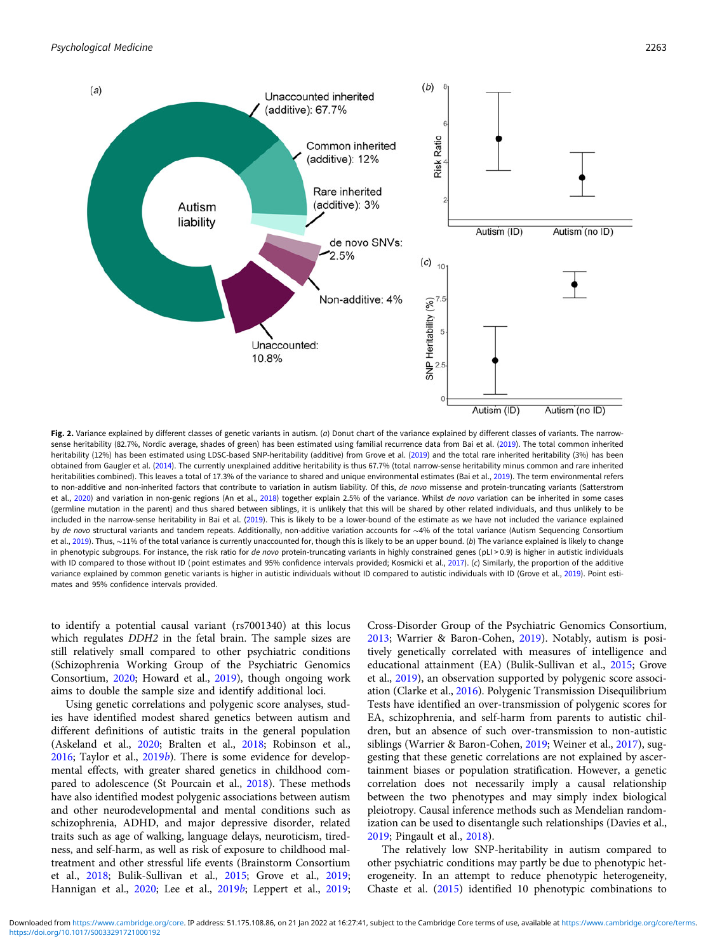<span id="page-3-0"></span>

Fig. 2. Variance explained by different classes of genetic variants in autism. (a) Donut chart of the variance explained by different classes of variants. The narrow-sense heritability (82.7%, Nordic average, shades of green) has been estimated using familial recurrence data from Bai et al. [\(2019\)](#page-9-0). The total common inherited heritability (12%) has been estimated using LDSC-based SNP-heritability (additive) from Grove et al. [\(2019](#page-10-0)) and the total rare inherited heritability (3%) has been obtained from Gaugler et al. [\(2014](#page-9-0)). The currently unexplained additive heritability is thus 67.7% (total narrow-sense heritability minus common and rare inherited heritabilities combined). This leaves a total of 17.3% of the variance to shared and unique environmental estimates (Bai et al., [2019](#page-9-0)). The term environmental refers to non-additive and non-inherited factors that contribute to variation in autism liability. Of this, de novo missense and protein-truncating variants (Satterstrom et al., [2020\)](#page-12-0) and variation in non-genic regions (An et al., [2018\)](#page-8-0) together explain 2.5% of the variance. Whilst de novo variation can be inherited in some cases (germline mutation in the parent) and thus shared between siblings, it is unlikely that this will be shared by other related individuals, and thus unlikely to be included in the narrow-sense heritability in Bai et al. [\(2019](#page-9-0)). This is likely to be a lower-bound of the estimate as we have not included the variance explained by de novo structural variants and tandem repeats. Additionally, non-additive variation accounts for ∼4% of the total variance (Autism Sequencing Consortium et al., [2019](#page-9-0)). Thus, ~11% of the total variance is currently unaccounted for, though this is likely to be an upper bound. (b) The variance explained is likely to change in phenotypic subgroups. For instance, the risk ratio for de novo protein-truncating variants in highly constrained genes (pLI > 0.9) is higher in autistic individuals with ID compared to those without ID (point estimates and 95% confidence intervals provided; Kosmicki et al., [2017](#page-10-0)). (c) Similarly, the proportion of the additive variance explained by common genetic variants is higher in autistic individuals without ID compared to autistic individuals with ID (Grove et al., [2019\)](#page-10-0). Point estimates and 95% confidence intervals provided.

to identify a potential causal variant (rs7001340) at this locus which regulates DDH2 in the fetal brain. The sample sizes are still relatively small compared to other psychiatric conditions (Schizophrenia Working Group of the Psychiatric Genomics Consortium, [2020;](#page-11-0) Howard et al., [2019](#page-10-0)), though ongoing work aims to double the sample size and identify additional loci.

Using genetic correlations and polygenic score analyses, studies have identified modest shared genetics between autism and different definitions of autistic traits in the general population (Askeland et al., [2020;](#page-9-0) Bralten et al., [2018;](#page-9-0) Robinson et al.,  $2016$ ; Taylor et al.,  $2019b$  $2019b$ ). There is some evidence for developmental effects, with greater shared genetics in childhood compared to adolescence (St Pourcain et al., [2018\)](#page-12-0). These methods have also identified modest polygenic associations between autism and other neurodevelopmental and mental conditions such as schizophrenia, ADHD, and major depressive disorder, related traits such as age of walking, language delays, neuroticism, tiredness, and self-harm, as well as risk of exposure to childhood maltreatment and other stressful life events (Brainstorm Consortium et al., [2018](#page-9-0); Bulik-Sullivan et al., [2015;](#page-9-0) Grove et al., [2019;](#page-10-0) Hannigan et al., [2020](#page-10-0); Lee et al., [2019](#page-10-0)[b](#page-10-0); Leppert et al., [2019;](#page-11-0)

Cross-Disorder Group of the Psychiatric Genomics Consortium, [2013](#page-10-0); Warrier & Baron-Cohen, [2019](#page-13-0)). Notably, autism is positively genetically correlated with measures of intelligence and educational attainment (EA) (Bulik-Sullivan et al., [2015;](#page-9-0) Grove et al., [2019\)](#page-10-0), an observation supported by polygenic score association (Clarke et al., [2016](#page-9-0)). Polygenic Transmission Disequilibrium Tests have identified an over-transmission of polygenic scores for EA, schizophrenia, and self-harm from parents to autistic children, but an absence of such over-transmission to non-autistic siblings (Warrier & Baron-Cohen, [2019](#page-13-0); Weiner et al., [2017\)](#page-13-0), suggesting that these genetic correlations are not explained by ascertainment biases or population stratification. However, a genetic correlation does not necessarily imply a causal relationship between the two phenotypes and may simply index biological pleiotropy. Causal inference methods such as Mendelian randomization can be used to disentangle such relationships (Davies et al., [2019](#page-9-0); Pingault et al., [2018\)](#page-11-0).

The relatively low SNP-heritability in autism compared to other psychiatric conditions may partly be due to phenotypic heterogeneity. In an attempt to reduce phenotypic heterogeneity, Chaste et al. [\(2015\)](#page-9-0) identified 10 phenotypic combinations to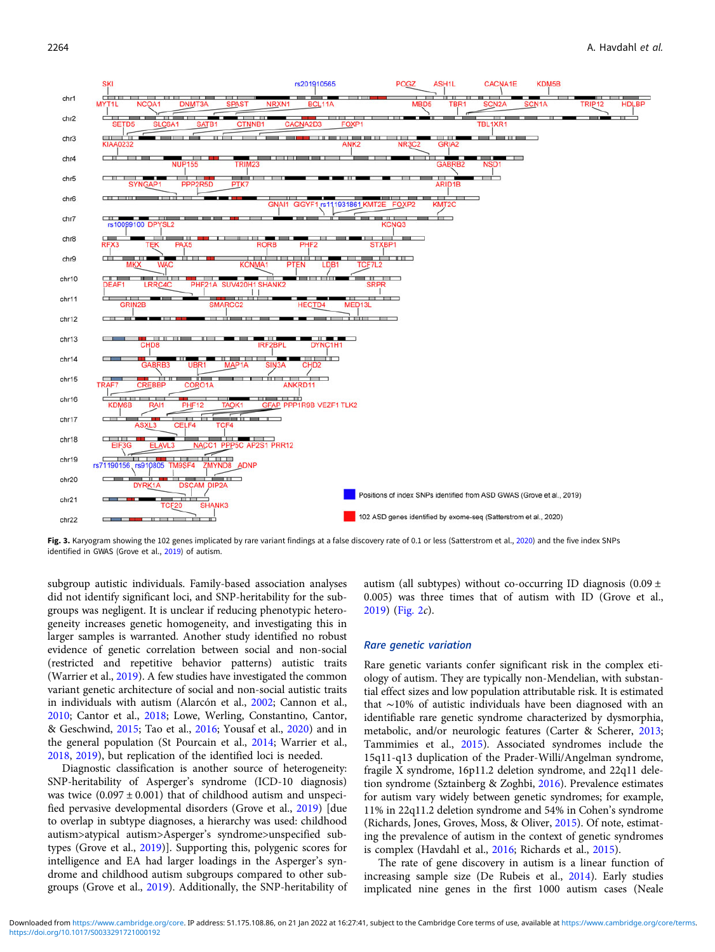<span id="page-4-0"></span>

Fig. 3. Karyogram showing the 102 genes implicated by rare variant findings at a false discovery rate of 0.1 or less (Satterstrom et al., [2020\)](#page-12-0) and the five index SNPs identified in GWAS (Grove et al., [2019\)](#page-10-0) of autism.

subgroup autistic individuals. Family-based association analyses did not identify significant loci, and SNP-heritability for the subgroups was negligent. It is unclear if reducing phenotypic heterogeneity increases genetic homogeneity, and investigating this in larger samples is warranted. Another study identified no robust evidence of genetic correlation between social and non-social (restricted and repetitive behavior patterns) autistic traits (Warrier et al., [2019](#page-13-0)). A few studies have investigated the common variant genetic architecture of social and non-social autistic traits in individuals with autism (Alarcón et al., [2002;](#page-8-0) Cannon et al., [2010;](#page-9-0) Cantor et al., [2018;](#page-9-0) Lowe, Werling, Constantino, Cantor, & Geschwind, [2015](#page-11-0); Tao et al., [2016;](#page-12-0) Yousaf et al., [2020](#page-13-0)) and in the general population (St Pourcain et al., [2014;](#page-12-0) Warrier et al., [2018,](#page-13-0) [2019](#page-13-0)), but replication of the identified loci is needed.

Diagnostic classification is another source of heterogeneity: SNP-heritability of Asperger's syndrome (ICD-10 diagnosis) was twice  $(0.097 \pm 0.001)$  that of childhood autism and unspecified pervasive developmental disorders (Grove et al., [2019](#page-10-0)) [due to overlap in subtype diagnoses, a hierarchy was used: childhood autism>atypical autism>Asperger's syndrome>unspecified subtypes (Grove et al., [2019\)](#page-10-0)]. Supporting this, polygenic scores for intelligence and EA had larger loadings in the Asperger's syndrome and childhood autism subgroups compared to other subgroups (Grove et al., [2019](#page-10-0)). Additionally, the SNP-heritability of autism (all subtypes) without co-occurring ID diagnosis  $(0.09 \pm 0.09)$ 0.005) was three times that of autism with ID (Grove et al., [2019\)](#page-10-0) [\(Fig. 2](#page-3-0)c).

#### Rare genetic variation

Rare genetic variants confer significant risk in the complex etiology of autism. They are typically non-Mendelian, with substantial effect sizes and low population attributable risk. It is estimated that ∼10% of autistic individuals have been diagnosed with an identifiable rare genetic syndrome characterized by dysmorphia, metabolic, and/or neurologic features (Carter & Scherer, [2013;](#page-9-0) Tammimies et al., [2015](#page-12-0)). Associated syndromes include the 15q11-q13 duplication of the Prader-Willi/Angelman syndrome, fragile X syndrome, 16p11.2 deletion syndrome, and 22q11 deletion syndrome (Sztainberg & Zoghbi, [2016\)](#page-12-0). Prevalence estimates for autism vary widely between genetic syndromes; for example, 11% in 22q11.2 deletion syndrome and 54% in Cohen's syndrome (Richards, Jones, Groves, Moss, & Oliver, [2015\)](#page-11-0). Of note, estimating the prevalence of autism in the context of genetic syndromes is complex (Havdahl et al., [2016](#page-10-0); Richards et al., [2015](#page-11-0)).

The rate of gene discovery in autism is a linear function of increasing sample size (De Rubeis et al., [2014](#page-9-0)). Early studies implicated nine genes in the first 1000 autism cases (Neale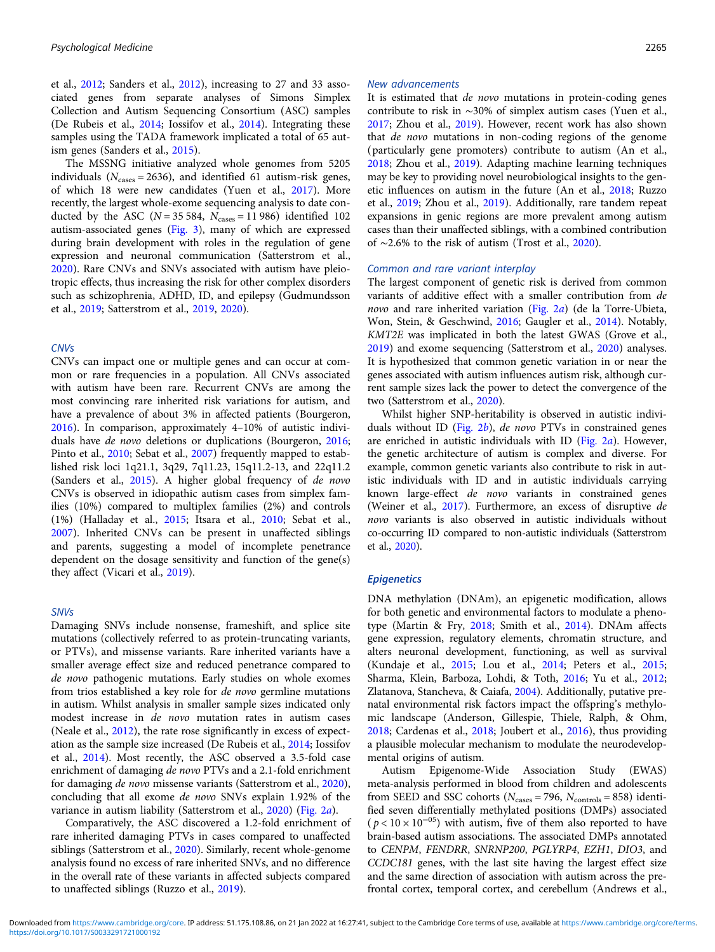et al., [2012](#page-11-0); Sanders et al., [2012](#page-12-0)), increasing to 27 and 33 associated genes from separate analyses of Simons Simplex Collection and Autism Sequencing Consortium (ASC) samples (De Rubeis et al., [2014](#page-9-0); Iossifov et al., [2014](#page-10-0)). Integrating these samples using the TADA framework implicated a total of 65 autism genes (Sanders et al., [2015\)](#page-12-0).

The MSSNG initiative analyzed whole genomes from 5205 individuals ( $N_{cases}$  = 2636), and identified 61 autism-risk genes, of which 18 were new candidates (Yuen et al., [2017\)](#page-13-0). More recently, the largest whole-exome sequencing analysis to date conducted by the ASC ( $N = 35584$ ,  $N_{\text{cases}} = 11986$ ) identified 102 autism-associated genes ([Fig. 3](#page-4-0)), many of which are expressed during brain development with roles in the regulation of gene expression and neuronal communication (Satterstrom et al., [2020\)](#page-12-0). Rare CNVs and SNVs associated with autism have pleiotropic effects, thus increasing the risk for other complex disorders such as schizophrenia, ADHD, ID, and epilepsy (Gudmundsson et al., [2019;](#page-10-0) Satterstrom et al., [2019,](#page-12-0) [2020](#page-12-0)).

## **CNV<sub>s</sub>**

CNVs can impact one or multiple genes and can occur at common or rare frequencies in a population. All CNVs associated with autism have been rare. Recurrent CNVs are among the most convincing rare inherited risk variations for autism, and have a prevalence of about 3% in affected patients (Bourgeron, [2016\)](#page-9-0). In comparison, approximately 4–10% of autistic individuals have de novo deletions or duplications (Bourgeron, [2016;](#page-9-0) Pinto et al., [2010;](#page-11-0) Sebat et al., [2007\)](#page-12-0) frequently mapped to established risk loci 1q21.1, 3q29, 7q11.23, 15q11.2-13, and 22q11.2 (Sanders et al., [2015](#page-12-0)). A higher global frequency of de novo CNVs is observed in idiopathic autism cases from simplex families (10%) compared to multiplex families (2%) and controls (1%) (Halladay et al., [2015](#page-10-0); Itsara et al., [2010;](#page-10-0) Sebat et al., [2007\)](#page-12-0). Inherited CNVs can be present in unaffected siblings and parents, suggesting a model of incomplete penetrance dependent on the dosage sensitivity and function of the gene(s) they affect (Vicari et al., [2019](#page-12-0)).

## SNVs

Damaging SNVs include nonsense, frameshift, and splice site mutations (collectively referred to as protein-truncating variants, or PTVs), and missense variants. Rare inherited variants have a smaller average effect size and reduced penetrance compared to de novo pathogenic mutations. Early studies on whole exomes from trios established a key role for de novo germline mutations in autism. Whilst analysis in smaller sample sizes indicated only modest increase in de novo mutation rates in autism cases (Neale et al., [2012](#page-11-0)), the rate rose significantly in excess of expectation as the sample size increased (De Rubeis et al., [2014](#page-9-0); Iossifov et al., [2014](#page-10-0)). Most recently, the ASC observed a 3.5-fold case enrichment of damaging de novo PTVs and a 2.1-fold enrichment for damaging de novo missense variants (Satterstrom et al., [2020\)](#page-12-0), concluding that all exome de novo SNVs explain 1.92% of the variance in autism liability (Satterstrom et al., [2020\)](#page-12-0) [\(Fig. 2](#page-3-0)a).

Comparatively, the ASC discovered a 1.2-fold enrichment of rare inherited damaging PTVs in cases compared to unaffected siblings (Satterstrom et al., [2020\)](#page-12-0). Similarly, recent whole-genome analysis found no excess of rare inherited SNVs, and no difference in the overall rate of these variants in affected subjects compared to unaffected siblings (Ruzzo et al., [2019\)](#page-12-0).

#### New advancements

It is estimated that de novo mutations in protein-coding genes contribute to risk in ∼30% of simplex autism cases (Yuen et al., [2017](#page-13-0); Zhou et al., [2019\)](#page-13-0). However, recent work has also shown that de novo mutations in non-coding regions of the genome (particularly gene promoters) contribute to autism (An et al., [2018](#page-8-0); Zhou et al., [2019\)](#page-13-0). Adapting machine learning techniques may be key to providing novel neurobiological insights to the genetic influences on autism in the future (An et al., [2018](#page-8-0); Ruzzo et al., [2019;](#page-12-0) Zhou et al., [2019\)](#page-13-0). Additionally, rare tandem repeat expansions in genic regions are more prevalent among autism cases than their unaffected siblings, with a combined contribution of ∼2.6% to the risk of autism (Trost et al., [2020\)](#page-12-0).

### Common and rare variant interplay

The largest component of genetic risk is derived from common variants of additive effect with a smaller contribution from de novo and rare inherited variation [\(Fig. 2](#page-3-0)a) (de la Torre-Ubieta, Won, Stein, & Geschwind, [2016](#page-9-0); Gaugler et al., [2014](#page-9-0)). Notably, KMT2E was implicated in both the latest GWAS (Grove et al., [2019](#page-10-0)) and exome sequencing (Satterstrom et al., [2020\)](#page-12-0) analyses. It is hypothesized that common genetic variation in or near the genes associated with autism influences autism risk, although current sample sizes lack the power to detect the convergence of the two (Satterstrom et al., [2020](#page-12-0)).

Whilst higher SNP-heritability is observed in autistic individuals without ID (Fig.  $2b$ ), de novo PTVs in constrained genes are enriched in autistic individuals with ID ([Fig. 2](#page-3-0)a). However, the genetic architecture of autism is complex and diverse. For example, common genetic variants also contribute to risk in autistic individuals with ID and in autistic individuals carrying known large-effect de novo variants in constrained genes (Weiner et al., [2017\)](#page-13-0). Furthermore, an excess of disruptive de novo variants is also observed in autistic individuals without co-occurring ID compared to non-autistic individuals (Satterstrom et al., [2020\)](#page-12-0).

#### **Epigenetics**

DNA methylation (DNAm), an epigenetic modification, allows for both genetic and environmental factors to modulate a phenotype (Martin & Fry, [2018](#page-11-0); Smith et al., [2014\)](#page-12-0). DNAm affects gene expression, regulatory elements, chromatin structure, and alters neuronal development, functioning, as well as survival (Kundaje et al., [2015](#page-10-0); Lou et al., [2014;](#page-11-0) Peters et al., [2015](#page-11-0); Sharma, Klein, Barboza, Lohdi, & Toth, [2016;](#page-12-0) Yu et al., [2012](#page-13-0); Zlatanova, Stancheva, & Caiafa, [2004](#page-13-0)). Additionally, putative prenatal environmental risk factors impact the offspring's methylomic landscape (Anderson, Gillespie, Thiele, Ralph, & Ohm, [2018](#page-8-0); Cardenas et al., [2018](#page-9-0); Joubert et al., [2016\)](#page-10-0), thus providing a plausible molecular mechanism to modulate the neurodevelopmental origins of autism.

Autism Epigenome-Wide Association Study (EWAS) meta-analysis performed in blood from children and adolescents from SEED and SSC cohorts ( $N_{\text{cases}} = 796$ ,  $N_{\text{controls}} = 858$ ) identified seven differentially methylated positions (DMPs) associated  $(p < 10 \times 10^{-05})$  with autism, five of them also reported to have brain-based autism associations. The associated DMPs annotated to CENPM, FENDRR, SNRNP200, PGLYRP4, EZH1, DIO3, and CCDC181 genes, with the last site having the largest effect size and the same direction of association with autism across the prefrontal cortex, temporal cortex, and cerebellum (Andrews et al.,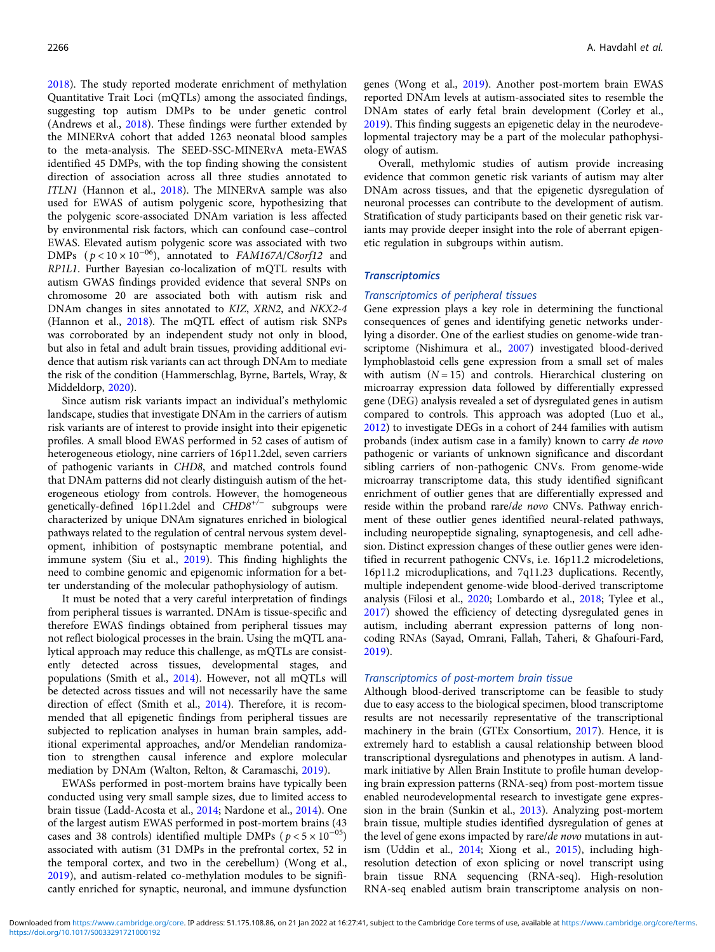[2018\)](#page-9-0). The study reported moderate enrichment of methylation Quantitative Trait Loci (mQTLs) among the associated findings, suggesting top autism DMPs to be under genetic control (Andrews et al., [2018\)](#page-9-0). These findings were further extended by the MINERvA cohort that added 1263 neonatal blood samples to the meta-analysis. The SEED-SSC-MINERvA meta-EWAS identified 45 DMPs, with the top finding showing the consistent direction of association across all three studies annotated to ITLN1 (Hannon et al., [2018](#page-10-0)). The MINERvA sample was also used for EWAS of autism polygenic score, hypothesizing that the polygenic score-associated DNAm variation is less affected by environmental risk factors, which can confound case–control EWAS. Elevated autism polygenic score was associated with two DMPs  $(p < 10 \times 10^{-06})$ , annotated to FAM167A/C8orf12 and RP1L1. Further Bayesian co-localization of mQTL results with autism GWAS findings provided evidence that several SNPs on chromosome 20 are associated both with autism risk and DNAm changes in sites annotated to KIZ, XRN2, and NKX2-4 (Hannon et al., [2018\)](#page-10-0). The mQTL effect of autism risk SNPs was corroborated by an independent study not only in blood, but also in fetal and adult brain tissues, providing additional evidence that autism risk variants can act through DNAm to mediate the risk of the condition (Hammerschlag, Byrne, Bartels, Wray, & Middeldorp, [2020](#page-10-0)).

Since autism risk variants impact an individual's methylomic landscape, studies that investigate DNAm in the carriers of autism risk variants are of interest to provide insight into their epigenetic profiles. A small blood EWAS performed in 52 cases of autism of heterogeneous etiology, nine carriers of 16p11.2del, seven carriers of pathogenic variants in CHD8, and matched controls found that DNAm patterns did not clearly distinguish autism of the heterogeneous etiology from controls. However, the homogeneous genetically-defined 16p11.2del and CHD8<sup>+/−</sup> subgroups were characterized by unique DNAm signatures enriched in biological pathways related to the regulation of central nervous system development, inhibition of postsynaptic membrane potential, and immune system (Siu et al., [2019](#page-12-0)). This finding highlights the need to combine genomic and epigenomic information for a better understanding of the molecular pathophysiology of autism.

It must be noted that a very careful interpretation of findings from peripheral tissues is warranted. DNAm is tissue-specific and therefore EWAS findings obtained from peripheral tissues may not reflect biological processes in the brain. Using the mQTL analytical approach may reduce this challenge, as mQTLs are consistently detected across tissues, developmental stages, and populations (Smith et al., [2014\)](#page-12-0). However, not all mQTLs will be detected across tissues and will not necessarily have the same direction of effect (Smith et al., [2014](#page-12-0)). Therefore, it is recommended that all epigenetic findings from peripheral tissues are subjected to replication analyses in human brain samples, additional experimental approaches, and/or Mendelian randomization to strengthen causal inference and explore molecular mediation by DNAm (Walton, Relton, & Caramaschi, [2019\)](#page-13-0).

EWASs performed in post-mortem brains have typically been conducted using very small sample sizes, due to limited access to brain tissue (Ladd-Acosta et al., [2014](#page-10-0); Nardone et al., [2014\)](#page-11-0). One of the largest autism EWAS performed in post-mortem brains (43 cases and 38 controls) identified multiple DMPs ( $p < 5 \times 10^{-05}$ ) associated with autism (31 DMPs in the prefrontal cortex, 52 in the temporal cortex, and two in the cerebellum) (Wong et al., [2019\)](#page-13-0), and autism-related co-methylation modules to be significantly enriched for synaptic, neuronal, and immune dysfunction genes (Wong et al., [2019\)](#page-13-0). Another post-mortem brain EWAS reported DNAm levels at autism-associated sites to resemble the DNAm states of early fetal brain development (Corley et al., [2019\)](#page-9-0). This finding suggests an epigenetic delay in the neurodevelopmental trajectory may be a part of the molecular pathophysiology of autism.

Overall, methylomic studies of autism provide increasing evidence that common genetic risk variants of autism may alter DNAm across tissues, and that the epigenetic dysregulation of neuronal processes can contribute to the development of autism. Stratification of study participants based on their genetic risk variants may provide deeper insight into the role of aberrant epigenetic regulation in subgroups within autism.

# **Transcriptomics**

## Transcriptomics of peripheral tissues

Gene expression plays a key role in determining the functional consequences of genes and identifying genetic networks underlying a disorder. One of the earliest studies on genome-wide transcriptome (Nishimura et al., [2007\)](#page-11-0) investigated blood-derived lymphoblastoid cells gene expression from a small set of males with autism  $(N = 15)$  and controls. Hierarchical clustering on microarray expression data followed by differentially expressed gene (DEG) analysis revealed a set of dysregulated genes in autism compared to controls. This approach was adopted (Luo et al., [2012\)](#page-11-0) to investigate DEGs in a cohort of 244 families with autism probands (index autism case in a family) known to carry de novo pathogenic or variants of unknown significance and discordant sibling carriers of non-pathogenic CNVs. From genome-wide microarray transcriptome data, this study identified significant enrichment of outlier genes that are differentially expressed and reside within the proband rare/de novo CNVs. Pathway enrichment of these outlier genes identified neural-related pathways, including neuropeptide signaling, synaptogenesis, and cell adhesion. Distinct expression changes of these outlier genes were identified in recurrent pathogenic CNVs, i.e. 16p11.2 microdeletions, 16p11.2 microduplications, and 7q11.23 duplications. Recently, multiple independent genome-wide blood-derived transcriptome analysis (Filosi et al., [2020;](#page-9-0) Lombardo et al., [2018](#page-11-0); Tylee et al., [2017\)](#page-12-0) showed the efficiency of detecting dysregulated genes in autism, including aberrant expression patterns of long noncoding RNAs (Sayad, Omrani, Fallah, Taheri, & Ghafouri-Fard, [2019\)](#page-12-0).

#### Transcriptomics of post-mortem brain tissue

Although blood-derived transcriptome can be feasible to study due to easy access to the biological specimen, blood transcriptome results are not necessarily representative of the transcriptional machinery in the brain (GTEx Consortium, [2017\)](#page-10-0). Hence, it is extremely hard to establish a causal relationship between blood transcriptional dysregulations and phenotypes in autism. A landmark initiative by Allen Brain Institute to profile human developing brain expression patterns (RNA-seq) from post-mortem tissue enabled neurodevelopmental research to investigate gene expression in the brain (Sunkin et al., [2013](#page-12-0)). Analyzing post-mortem brain tissue, multiple studies identified dysregulation of genes at the level of gene exons impacted by rare/de novo mutations in autism (Uddin et al., [2014](#page-12-0); Xiong et al., [2015](#page-13-0)), including highresolution detection of exon splicing or novel transcript using brain tissue RNA sequencing (RNA-seq). High-resolution RNA-seq enabled autism brain transcriptome analysis on non-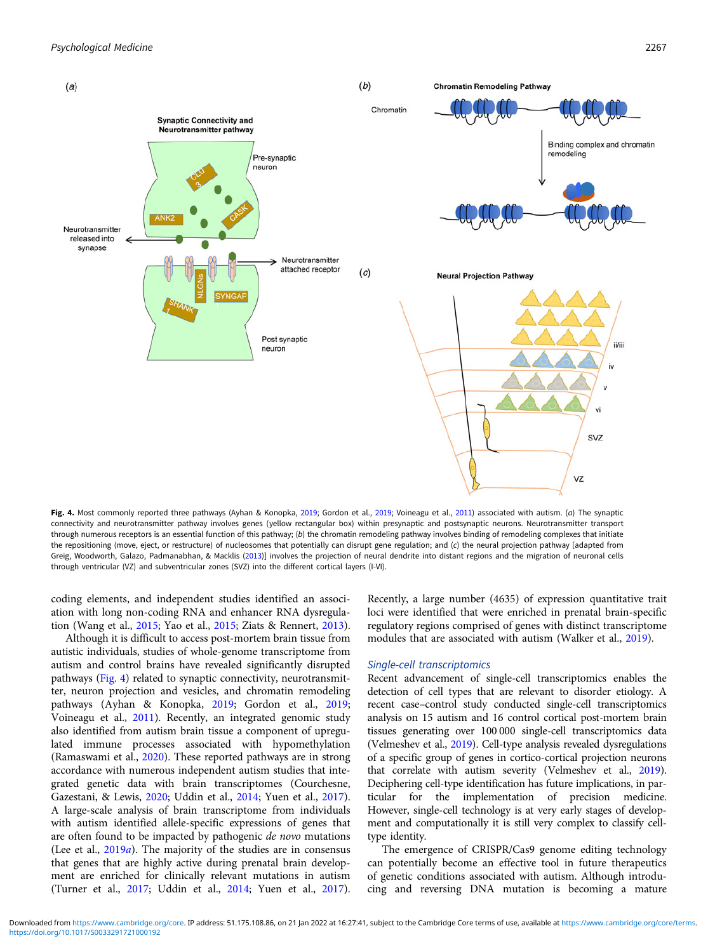

Fig. 4. Most commonly reported three pathways (Ayhan & Konopka, [2019](#page-10-0); Gordon et al., 2019; Voineagu et al., [2011](#page-12-0)) associated with autism. (a) The synaptic connectivity and neurotransmitter pathway involves genes (yellow rectangular box) within presynaptic and postsynaptic neurons. Neurotransmitter transport through numerous receptors is an essential function of this pathway; (b) the chromatin remodeling pathway involves binding of remodeling complexes that initiate the repositioning (move, eject, or restructure) of nucleosomes that potentially can disrupt gene regulation; and (c) the neural projection pathway [adapted from Greig, Woodworth, Galazo, Padmanabhan, & Macklis [\(2013](#page-10-0))] involves the projection of neural dendrite into distant regions and the migration of neuronal cells through ventricular (VZ) and subventricular zones (SVZ) into the different cortical layers (I-VI).

coding elements, and independent studies identified an association with long non-coding RNA and enhancer RNA dysregulation (Wang et al., [2015;](#page-13-0) Yao et al., [2015;](#page-13-0) Ziats & Rennert, [2013\)](#page-13-0).

Although it is difficult to access post-mortem brain tissue from autistic individuals, studies of whole-genome transcriptome from autism and control brains have revealed significantly disrupted pathways (Fig. 4) related to synaptic connectivity, neurotransmitter, neuron projection and vesicles, and chromatin remodeling pathways (Ayhan & Konopka, [2019;](#page-9-0) Gordon et al., [2019;](#page-10-0) Voineagu et al., [2011\)](#page-12-0). Recently, an integrated genomic study also identified from autism brain tissue a component of upregulated immune processes associated with hypomethylation (Ramaswami et al., [2020\)](#page-11-0). These reported pathways are in strong accordance with numerous independent autism studies that integrated genetic data with brain transcriptomes (Courchesne, Gazestani, & Lewis, [2020;](#page-9-0) Uddin et al., [2014](#page-12-0); Yuen et al., [2017\)](#page-13-0). A large-scale analysis of brain transcriptome from individuals with autism identified allele-specific expressions of genes that are often found to be impacted by pathogenic de novo mutations (Lee et al.,  $2019a$  $2019a$ ). The majority of the studies are in consensus that genes that are highly active during prenatal brain development are enriched for clinically relevant mutations in autism (Turner et al., [2017;](#page-12-0) Uddin et al., [2014](#page-12-0); Yuen et al., [2017\)](#page-13-0).

Recently, a large number (4635) of expression quantitative trait loci were identified that were enriched in prenatal brain-specific regulatory regions comprised of genes with distinct transcriptome modules that are associated with autism (Walker et al., [2019\)](#page-12-0).

### Single-cell transcriptomics

Recent advancement of single-cell transcriptomics enables the detection of cell types that are relevant to disorder etiology. A recent case–control study conducted single-cell transcriptomics analysis on 15 autism and 16 control cortical post-mortem brain tissues generating over 100 000 single-cell transcriptomics data (Velmeshev et al., [2019](#page-12-0)). Cell-type analysis revealed dysregulations of a specific group of genes in cortico-cortical projection neurons that correlate with autism severity (Velmeshev et al., [2019](#page-12-0)). Deciphering cell-type identification has future implications, in particular for the implementation of precision medicine. However, single-cell technology is at very early stages of development and computationally it is still very complex to classify celltype identity.

The emergence of CRISPR/Cas9 genome editing technology can potentially become an effective tool in future therapeutics of genetic conditions associated with autism. Although introducing and reversing DNA mutation is becoming a mature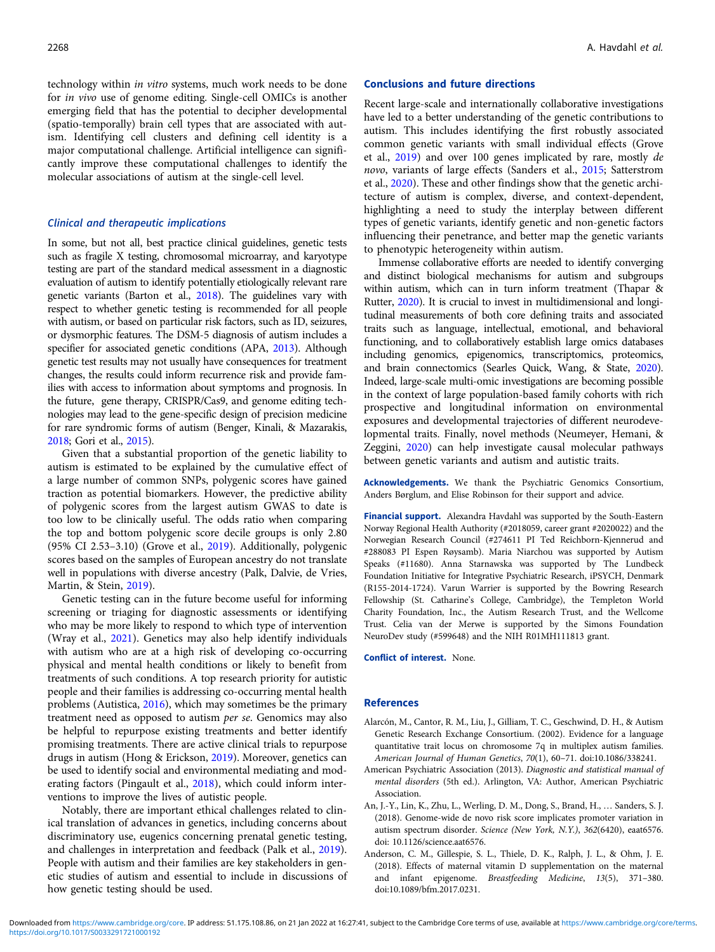<span id="page-8-0"></span>technology within in vitro systems, much work needs to be done for in vivo use of genome editing. Single-cell OMICs is another emerging field that has the potential to decipher developmental (spatio-temporally) brain cell types that are associated with autism. Identifying cell clusters and defining cell identity is a major computational challenge. Artificial intelligence can significantly improve these computational challenges to identify the molecular associations of autism at the single-cell level.

# Clinical and therapeutic implications

In some, but not all, best practice clinical guidelines, genetic tests such as fragile X testing, chromosomal microarray, and karyotype testing are part of the standard medical assessment in a diagnostic evaluation of autism to identify potentially etiologically relevant rare genetic variants (Barton et al., [2018](#page-9-0)). The guidelines vary with respect to whether genetic testing is recommended for all people with autism, or based on particular risk factors, such as ID, seizures, or dysmorphic features. The DSM-5 diagnosis of autism includes a specifier for associated genetic conditions (APA, 2013). Although genetic test results may not usually have consequences for treatment changes, the results could inform recurrence risk and provide families with access to information about symptoms and prognosis. In the future, gene therapy, CRISPR/Cas9, and genome editing technologies may lead to the gene-specific design of precision medicine for rare syndromic forms of autism (Benger, Kinali, & Mazarakis, [2018](#page-9-0); Gori et al., [2015](#page-10-0)).

Given that a substantial proportion of the genetic liability to autism is estimated to be explained by the cumulative effect of a large number of common SNPs, polygenic scores have gained traction as potential biomarkers. However, the predictive ability of polygenic scores from the largest autism GWAS to date is too low to be clinically useful. The odds ratio when comparing the top and bottom polygenic score decile groups is only 2.80 (95% CI 2.53–3.10) (Grove et al., [2019](#page-10-0)). Additionally, polygenic scores based on the samples of European ancestry do not translate well in populations with diverse ancestry (Palk, Dalvie, de Vries, Martin, & Stein, [2019\)](#page-11-0).

Genetic testing can in the future become useful for informing screening or triaging for diagnostic assessments or identifying who may be more likely to respond to which type of intervention (Wray et al., [2021\)](#page-13-0). Genetics may also help identify individuals with autism who are at a high risk of developing co-occurring physical and mental health conditions or likely to benefit from treatments of such conditions. A top research priority for autistic people and their families is addressing co-occurring mental health problems (Autistica, [2016](#page-9-0)), which may sometimes be the primary treatment need as opposed to autism per se. Genomics may also be helpful to repurpose existing treatments and better identify promising treatments. There are active clinical trials to repurpose drugs in autism (Hong & Erickson, [2019](#page-10-0)). Moreover, genetics can be used to identify social and environmental mediating and moderating factors (Pingault et al., [2018\)](#page-11-0), which could inform interventions to improve the lives of autistic people.

Notably, there are important ethical challenges related to clinical translation of advances in genetics, including concerns about discriminatory use, eugenics concerning prenatal genetic testing, and challenges in interpretation and feedback (Palk et al., [2019\)](#page-11-0). People with autism and their families are key stakeholders in genetic studies of autism and essential to include in discussions of how genetic testing should be used.

## Conclusions and future directions

Recent large-scale and internationally collaborative investigations have led to a better understanding of the genetic contributions to autism. This includes identifying the first robustly associated common genetic variants with small individual effects (Grove et al., [2019](#page-10-0)) and over 100 genes implicated by rare, mostly de novo, variants of large effects (Sanders et al., [2015](#page-12-0); Satterstrom et al., [2020\)](#page-12-0). These and other findings show that the genetic architecture of autism is complex, diverse, and context-dependent, highlighting a need to study the interplay between different types of genetic variants, identify genetic and non-genetic factors influencing their penetrance, and better map the genetic variants to phenotypic heterogeneity within autism.

Immense collaborative efforts are needed to identify converging and distinct biological mechanisms for autism and subgroups within autism, which can in turn inform treatment (Thapar & Rutter, [2020\)](#page-12-0). It is crucial to invest in multidimensional and longitudinal measurements of both core defining traits and associated traits such as language, intellectual, emotional, and behavioral functioning, and to collaboratively establish large omics databases including genomics, epigenomics, transcriptomics, proteomics, and brain connectomics (Searles Quick, Wang, & State, [2020\)](#page-12-0). Indeed, large-scale multi-omic investigations are becoming possible in the context of large population-based family cohorts with rich prospective and longitudinal information on environmental exposures and developmental trajectories of different neurodevelopmental traits. Finally, novel methods (Neumeyer, Hemani, & Zeggini, [2020\)](#page-11-0) can help investigate causal molecular pathways between genetic variants and autism and autistic traits.

Acknowledgements. We thank the Psychiatric Genomics Consortium, Anders Børglum, and Elise Robinson for their support and advice.

Financial support. Alexandra Havdahl was supported by the South-Eastern Norway Regional Health Authority (#2018059, career grant #2020022) and the Norwegian Research Council (#274611 PI Ted Reichborn-Kjennerud and #288083 PI Espen Røysamb). Maria Niarchou was supported by Autism Speaks (#11680). Anna Starnawska was supported by The Lundbeck Foundation Initiative for Integrative Psychiatric Research, iPSYCH, Denmark (R155-2014-1724). Varun Warrier is supported by the Bowring Research Fellowship (St. Catharine's College, Cambridge), the Templeton World Charity Foundation, Inc., the Autism Research Trust, and the Wellcome Trust. Celia van der Merwe is supported by the Simons Foundation NeuroDev study (#599648) and the NIH R01MH111813 grant.

Conflict of interest. None.

## References

- Alarcón, M., Cantor, R. M., Liu, J., Gilliam, T. C., Geschwind, D. H., & Autism Genetic Research Exchange Consortium. (2002). Evidence for a language quantitative trait locus on chromosome 7q in multiplex autism families. American Journal of Human Genetics, 70(1), 60–71. doi:10.1086/338241.
- American Psychiatric Association (2013). Diagnostic and statistical manual of mental disorders (5th ed.). Arlington, VA: Author, American Psychiatric Association.
- An, J.-Y., Lin, K., Zhu, L., Werling, D. M., Dong, S., Brand, H., … Sanders, S. J. (2018). Genome-wide de novo risk score implicates promoter variation in autism spectrum disorder. Science (New York, N.Y.), 362(6420), eaat6576. doi: 10.1126/science.aat6576.
- Anderson, C. M., Gillespie, S. L., Thiele, D. K., Ralph, J. L., & Ohm, J. E. (2018). Effects of maternal vitamin D supplementation on the maternal and infant epigenome. Breastfeeding Medicine, 13(5), 371–380. doi:10.1089/bfm.2017.0231.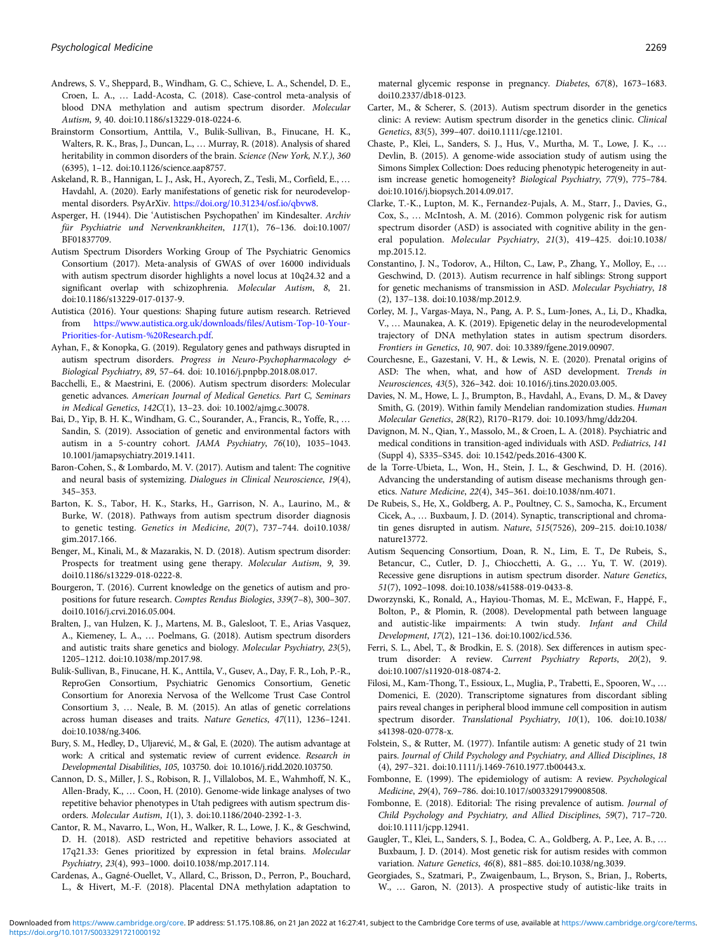- <span id="page-9-0"></span>Andrews, S. V., Sheppard, B., Windham, G. C., Schieve, L. A., Schendel, D. E., Croen, L. A., … Ladd-Acosta, C. (2018). Case-control meta-analysis of blood DNA methylation and autism spectrum disorder. Molecular Autism, 9, 40. doi:10.1186/s13229-018-0224-6.
- Brainstorm Consortium, Anttila, V., Bulik-Sullivan, B., Finucane, H. K., Walters, R. K., Bras, J., Duncan, L., … Murray, R. (2018). Analysis of shared heritability in common disorders of the brain. Science (New York, N.Y.), 360 (6395), 1–12. doi:10.1126/science.aap8757.
- Askeland, R. B., Hannigan, L. J., Ask, H., Ayorech, Z., Tesli, M., Corfield, E., … Havdahl, A. (2020). Early manifestations of genetic risk for neurodevelopmental disorders. PsyArXiv. <https://doi.org/10.31234/osf.io/qbvw8>.
- Asperger, H. (1944). Die 'Autistischen Psychopathen' im Kindesalter. Archiv für Psychiatrie und Nervenkrankheiten, 117(1), 76–136. doi:10.1007/ BF01837709.
- Autism Spectrum Disorders Working Group of The Psychiatric Genomics Consortium (2017). Meta-analysis of GWAS of over 16000 individuals with autism spectrum disorder highlights a novel locus at 10q24.32 and a significant overlap with schizophrenia. Molecular Autism, 8, 21. doi:10.1186/s13229-017-0137-9.

Autistica (2016). Your questions: Shaping future autism research. Retrieved from [https://www.autistica.org.uk/downloads/files/Autism-Top-10-Your-](https://www.autistica.org.uk/downloads/files/Autism-Top-10-Your-Priorities-for-Autism-%20Research.pdf)[Priorities-for-Autism-%20Research.pdf.](https://www.autistica.org.uk/downloads/files/Autism-Top-10-Your-Priorities-for-Autism-%20Research.pdf)

- Ayhan, F., & Konopka, G. (2019). Regulatory genes and pathways disrupted in autism spectrum disorders. Progress in Neuro-Psychopharmacology & Biological Psychiatry, 89, 57–64. doi: 10.1016/j.pnpbp.2018.08.017.
- Bacchelli, E., & Maestrini, E. (2006). Autism spectrum disorders: Molecular genetic advances. American Journal of Medical Genetics. Part C, Seminars in Medical Genetics, 142C(1), 13–23. doi: 10.1002/ajmg.c.30078.
- Bai, D., Yip, B. H. K., Windham, G. C., Sourander, A., Francis, R., Yoffe, R., … Sandin, S. (2019). Association of genetic and environmental factors with autism in a 5-country cohort. JAMA Psychiatry, 76(10), 1035–1043. 10.1001/jamapsychiatry.2019.1411.
- Baron-Cohen, S., & Lombardo, M. V. (2017). Autism and talent: The cognitive and neural basis of systemizing. Dialogues in Clinical Neuroscience, 19(4), 345–353.
- Barton, K. S., Tabor, H. K., Starks, H., Garrison, N. A., Laurino, M., & Burke, W. (2018). Pathways from autism spectrum disorder diagnosis to genetic testing. Genetics in Medicine, 20(7), 737–744. doi10.1038/ gim.2017.166.
- Benger, M., Kinali, M., & Mazarakis, N. D. (2018). Autism spectrum disorder: Prospects for treatment using gene therapy. Molecular Autism, 9, 39. doi10.1186/s13229-018-0222-8.
- Bourgeron, T. (2016). Current knowledge on the genetics of autism and propositions for future research. Comptes Rendus Biologies, 339(7–8), 300–307. doi10.1016/j.crvi.2016.05.004.
- Bralten, J., van Hulzen, K. J., Martens, M. B., Galesloot, T. E., Arias Vasquez, A., Kiemeney, L. A., … Poelmans, G. (2018). Autism spectrum disorders and autistic traits share genetics and biology. Molecular Psychiatry, 23(5), 1205–1212. doi:10.1038/mp.2017.98.
- Bulik-Sullivan, B., Finucane, H. K., Anttila, V., Gusev, A., Day, F. R., Loh, P.-R., ReproGen Consortium, Psychiatric Genomics Consortium, Genetic Consortium for Anorexia Nervosa of the Wellcome Trust Case Control Consortium 3, … Neale, B. M. (2015). An atlas of genetic correlations across human diseases and traits. Nature Genetics, 47(11), 1236–1241. doi:10.1038/ng.3406.
- Bury, S. M., Hedley, D., Uljarević, M., & Gal, E. (2020). The autism advantage at work: A critical and systematic review of current evidence. Research in Developmental Disabilities, 105, 103750. doi: 10.1016/j.ridd.2020.103750.
- Cannon, D. S., Miller, J. S., Robison, R. J., Villalobos, M. E., Wahmhoff, N. K., Allen-Brady, K., … Coon, H. (2010). Genome-wide linkage analyses of two repetitive behavior phenotypes in Utah pedigrees with autism spectrum disorders. Molecular Autism, 1(1), 3. doi:10.1186/2040-2392-1-3.
- Cantor, R. M., Navarro, L., Won, H., Walker, R. L., Lowe, J. K., & Geschwind, D. H. (2018). ASD restricted and repetitive behaviors associated at 17q21.33: Genes prioritized by expression in fetal brains. Molecular Psychiatry, 23(4), 993–1000. doi10.1038/mp.2017.114.
- Cardenas, A., Gagné-Ouellet, V., Allard, C., Brisson, D., Perron, P., Bouchard, L., & Hivert, M.-F. (2018). Placental DNA methylation adaptation to

maternal glycemic response in pregnancy. Diabetes, 67(8), 1673–1683. doi10.2337/db18-0123.

- Carter, M., & Scherer, S. (2013). Autism spectrum disorder in the genetics clinic: A review: Autism spectrum disorder in the genetics clinic. Clinical Genetics, 83(5), 399–407. doi10.1111/cge.12101.
- Chaste, P., Klei, L., Sanders, S. J., Hus, V., Murtha, M. T., Lowe, J. K., … Devlin, B. (2015). A genome-wide association study of autism using the Simons Simplex Collection: Does reducing phenotypic heterogeneity in autism increase genetic homogeneity? Biological Psychiatry, 77(9), 775–784. doi:10.1016/j.biopsych.2014.09.017.
- Clarke, T.-K., Lupton, M. K., Fernandez-Pujals, A. M., Starr, J., Davies, G., Cox, S., … McIntosh, A. M. (2016). Common polygenic risk for autism spectrum disorder (ASD) is associated with cognitive ability in the general population. Molecular Psychiatry, 21(3), 419–425. doi:10.1038/ mp.2015.12.
- Constantino, J. N., Todorov, A., Hilton, C., Law, P., Zhang, Y., Molloy, E., … Geschwind, D. (2013). Autism recurrence in half siblings: Strong support for genetic mechanisms of transmission in ASD. Molecular Psychiatry, 18 (2), 137–138. doi:10.1038/mp.2012.9.
- Corley, M. J., Vargas-Maya, N., Pang, A. P. S., Lum-Jones, A., Li, D., Khadka, V., … Maunakea, A. K. (2019). Epigenetic delay in the neurodevelopmental trajectory of DNA methylation states in autism spectrum disorders. Frontiers in Genetics, 10, 907. doi: 10.3389/fgene.2019.00907.
- Courchesne, E., Gazestani, V. H., & Lewis, N. E. (2020). Prenatal origins of ASD: The when, what, and how of ASD development. Trends in Neurosciences, 43(5), 326–342. doi: 10.1016/j.tins.2020.03.005.
- Davies, N. M., Howe, L. J., Brumpton, B., Havdahl, A., Evans, D. M., & Davey Smith, G. (2019). Within family Mendelian randomization studies. Human Molecular Genetics, 28(R2), R170–R179. doi: 10.1093/hmg/ddz204.
- Davignon, M. N., Qian, Y., Massolo, M., & Croen, L. A. (2018). Psychiatric and medical conditions in transition-aged individuals with ASD. Pediatrics, 141 (Suppl 4), S335–S345. doi: 10.1542/peds.2016-4300 K.
- de la Torre-Ubieta, L., Won, H., Stein, J. L., & Geschwind, D. H. (2016). Advancing the understanding of autism disease mechanisms through genetics. Nature Medicine, 22(4), 345–361. doi:10.1038/nm.4071.
- De Rubeis, S., He, X., Goldberg, A. P., Poultney, C. S., Samocha, K., Ercument Cicek, A., … Buxbaum, J. D. (2014). Synaptic, transcriptional and chromatin genes disrupted in autism. Nature, 515(7526), 209–215. doi:10.1038/ nature13772.
- Autism Sequencing Consortium, Doan, R. N., Lim, E. T., De Rubeis, S., Betancur, C., Cutler, D. J., Chiocchetti, A. G., … Yu, T. W. (2019). Recessive gene disruptions in autism spectrum disorder. Nature Genetics, 51(7), 1092–1098. doi:10.1038/s41588-019-0433-8.
- Dworzynski, K., Ronald, A., Hayiou-Thomas, M. E., McEwan, F., Happé, F., Bolton, P., & Plomin, R. (2008). Developmental path between language and autistic-like impairments: A twin study. Infant and Child Development, 17(2), 121–136. doi:10.1002/icd.536.
- Ferri, S. L., Abel, T., & Brodkin, E. S. (2018). Sex differences in autism spectrum disorder: A review. Current Psychiatry Reports, 20(2), 9. doi:10.1007/s11920-018-0874-2.
- Filosi, M., Kam-Thong, T., Essioux, L., Muglia, P., Trabetti, E., Spooren, W., … Domenici, E. (2020). Transcriptome signatures from discordant sibling pairs reveal changes in peripheral blood immune cell composition in autism spectrum disorder. Translational Psychiatry, 10(1), 106. doi:10.1038/ s41398-020-0778-x.
- Folstein, S., & Rutter, M. (1977). Infantile autism: A genetic study of 21 twin pairs. Journal of Child Psychology and Psychiatry, and Allied Disciplines, 18 (4), 297–321. doi:10.1111/j.1469-7610.1977.tb00443.x.
- Fombonne, E. (1999). The epidemiology of autism: A review. Psychological Medicine, 29(4), 769–786. doi:10.1017/s0033291799008508.
- Fombonne, E. (2018). Editorial: The rising prevalence of autism. Journal of Child Psychology and Psychiatry, and Allied Disciplines, 59(7), 717–720. doi:10.1111/jcpp.12941.
- Gaugler, T., Klei, L., Sanders, S. J., Bodea, C. A., Goldberg, A. P., Lee, A. B., … Buxbaum, J. D. (2014). Most genetic risk for autism resides with common variation. Nature Genetics, 46(8), 881–885. doi:10.1038/ng.3039.
- Georgiades, S., Szatmari, P., Zwaigenbaum, L., Bryson, S., Brian, J., Roberts, W., … Garon, N. (2013). A prospective study of autistic-like traits in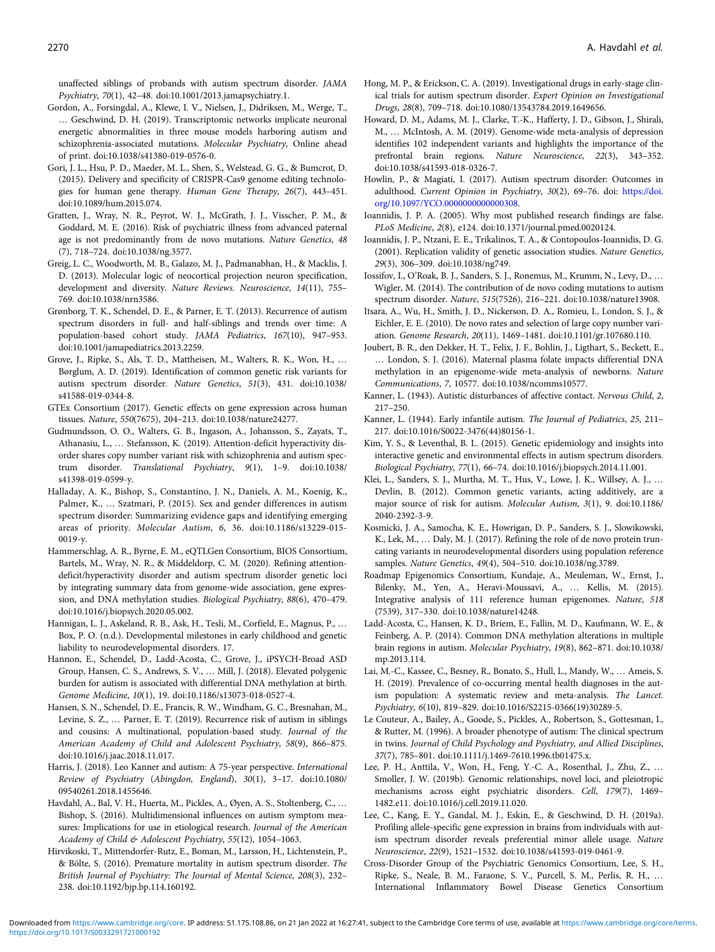<span id="page-10-0"></span>unaffected siblings of probands with autism spectrum disorder. JAMA Psychiatry, 70(1), 42–48. doi:10.1001/2013.jamapsychiatry.1.

- Gordon, A., Forsingdal, A., Klewe, I. V., Nielsen, J., Didriksen, M., Werge, T., … Geschwind, D. H. (2019). Transcriptomic networks implicate neuronal energetic abnormalities in three mouse models harboring autism and schizophrenia-associated mutations. Molecular Psychiatry, Online ahead of print. doi:10.1038/s41380-019-0576-0.
- Gori, J. L., Hsu, P. D., Maeder, M. L., Shen, S., Welstead, G. G., & Bumcrot, D. (2015). Delivery and specificity of CRISPR-Cas9 genome editing technologies for human gene therapy. Human Gene Therapy, 26(7), 443–451. doi:10.1089/hum.2015.074.
- Gratten, J., Wray, N. R., Peyrot, W. J., McGrath, J. J., Visscher, P. M., & Goddard, M. E. (2016). Risk of psychiatric illness from advanced paternal age is not predominantly from de novo mutations. Nature Genetics, 48 (7), 718–724. doi:10.1038/ng.3577.
- Greig, L. C., Woodworth, M. B., Galazo, M. J., Padmanabhan, H., & Macklis, J. D. (2013). Molecular logic of neocortical projection neuron specification, development and diversity. Nature Reviews. Neuroscience, 14(11), 755– 769. doi:10.1038/nrn3586.
- Grønborg, T. K., Schendel, D. E., & Parner, E. T. (2013). Recurrence of autism spectrum disorders in full- and half-siblings and trends over time: A population-based cohort study. JAMA Pediatrics, 167(10), 947–953. doi:10.1001/jamapediatrics.2013.2259.
- Grove, J., Ripke, S., Als, T. D., Mattheisen, M., Walters, R. K., Won, H., … Børglum, A. D. (2019). Identification of common genetic risk variants for autism spectrum disorder. Nature Genetics, 51(3), 431. doi:10.1038/ s41588-019-0344-8.
- GTEx Consortium (2017). Genetic effects on gene expression across human tissues. Nature, 550(7675), 204–213. doi:10.1038/nature24277.
- Gudmundsson, O. O., Walters, G. B., Ingason, A., Johansson, S., Zayats, T., Athanasiu, L., … Stefansson, K. (2019). Attention-deficit hyperactivity disorder shares copy number variant risk with schizophrenia and autism spectrum disorder. Translational Psychiatry, 9(1), 1–9. doi:10.1038/ s41398-019-0599-y.
- Halladay, A. K., Bishop, S., Constantino, J. N., Daniels, A. M., Koenig, K., Palmer, K., … Szatmari, P. (2015). Sex and gender differences in autism spectrum disorder: Summarizing evidence gaps and identifying emerging areas of priority. Molecular Autism, 6, 36. doi:10.1186/s13229-015- 0019-y.
- Hammerschlag, A. R., Byrne, E. M., eQTLGen Consortium, BIOS Consortium, Bartels, M., Wray, N. R., & Middeldorp, C. M. (2020). Refining attentiondeficit/hyperactivity disorder and autism spectrum disorder genetic loci by integrating summary data from genome-wide association, gene expression, and DNA methylation studies. Biological Psychiatry, 88(6), 470–479. doi:10.1016/j.biopsych.2020.05.002.
- Hannigan, L. J., Askeland, R. B., Ask, H., Tesli, M., Corfield, E., Magnus, P., … Box, P. O. (n.d.). Developmental milestones in early childhood and genetic liability to neurodevelopmental disorders. 17.
- Hannon, E., Schendel, D., Ladd-Acosta, C., Grove, J., iPSYCH-Broad ASD Group, Hansen, C. S., Andrews, S. V., … Mill, J. (2018). Elevated polygenic burden for autism is associated with differential DNA methylation at birth. Genome Medicine, 10(1), 19. doi:10.1186/s13073-018-0527-4.
- Hansen, S. N., Schendel, D. E., Francis, R. W., Windham, G. C., Bresnahan, M., Levine, S. Z., … Parner, E. T. (2019). Recurrence risk of autism in siblings and cousins: A multinational, population-based study. Journal of the American Academy of Child and Adolescent Psychiatry, 58(9), 866–875. doi:10.1016/j.jaac.2018.11.017.
- Harris, J. (2018). Leo Kanner and autism: A 75-year perspective. International Review of Psychiatry (Abingdon, England), 30(1), 3–17. doi:10.1080/ 09540261.2018.1455646.
- Havdahl, A., Bal, V. H., Huerta, M., Pickles, A., Øyen, A. S., Stoltenberg, C., … Bishop, S. (2016). Multidimensional influences on autism symptom measures: Implications for use in etiological research. Journal of the American Academy of Child & Adolescent Psychiatry, 55(12), 1054-1063.
- Hirvikoski, T., Mittendorfer-Rutz, E., Boman, M., Larsson, H., Lichtenstein, P., & Bölte, S. (2016). Premature mortality in autism spectrum disorder. The British Journal of Psychiatry: The Journal of Mental Science, 208(3), 232– 238. doi:10.1192/bjp.bp.114.160192.
- Hong, M. P., & Erickson, C. A. (2019). Investigational drugs in early-stage clinical trials for autism spectrum disorder. Expert Opinion on Investigational Drugs, 28(8), 709–718. doi:10.1080/13543784.2019.1649656.
- Howard, D. M., Adams, M. J., Clarke, T.-K., Hafferty, J. D., Gibson, J., Shirali, M., … McIntosh, A. M. (2019). Genome-wide meta-analysis of depression identifies 102 independent variants and highlights the importance of the prefrontal brain regions. Nature Neuroscience, 22(3), 343–352. doi:10.1038/s41593-018-0326-7.
- Howlin, P., & Magiati, I. (2017). Autism spectrum disorder: Outcomes in adulthood. Current Opinion in Psychiatry, 30(2), 69–76. doi: [https://doi.](https://doi.org/10.1097/YCO.0000000000000308) [org/10.1097/YCO.0000000000000308](https://doi.org/10.1097/YCO.0000000000000308).
- Ioannidis, J. P. A. (2005). Why most published research findings are false. PLoS Medicine, 2(8), e124. doi:10.1371/journal.pmed.0020124.
- Ioannidis, J. P., Ntzani, E. E., Trikalinos, T. A., & Contopoulos-Ioannidis, D. G. (2001). Replication validity of genetic association studies. Nature Genetics, 29(3), 306–309. doi:10.1038/ng749.
- Iossifov, I., O'Roak, B. J., Sanders, S. J., Ronemus, M., Krumm, N., Levy, D., … Wigler, M. (2014). The contribution of de novo coding mutations to autism spectrum disorder. Nature, 515(7526), 216–221. doi:10.1038/nature13908.
- Itsara, A., Wu, H., Smith, J. D., Nickerson, D. A., Romieu, I., London, S. J., & Eichler, E. E. (2010). De novo rates and selection of large copy number variation. Genome Research, 20(11), 1469–1481. doi:10.1101/gr.107680.110.
- Joubert, B. R., den Dekker, H. T., Felix, J. F., Bohlin, J., Ligthart, S., Beckett, E., … London, S. J. (2016). Maternal plasma folate impacts differential DNA methylation in an epigenome-wide meta-analysis of newborns. Nature Communications, 7, 10577. doi:10.1038/ncomms10577.
- Kanner, L. (1943). Autistic disturbances of affective contact. Nervous Child, 2, 217–250.
- Kanner, L. (1944). Early infantile autism. The Journal of Pediatrics, 25, 211– 217. doi:10.1016/S0022-3476(44)80156-1.
- Kim, Y. S., & Leventhal, B. L. (2015). Genetic epidemiology and insights into interactive genetic and environmental effects in autism spectrum disorders. Biological Psychiatry, 77(1), 66–74. doi:10.1016/j.biopsych.2014.11.001.
- Klei, L., Sanders, S. J., Murtha, M. T., Hus, V., Lowe, J. K., Willsey, A. J., … Devlin, B. (2012). Common genetic variants, acting additively, are a major source of risk for autism. Molecular Autism, 3(1), 9. doi:10.1186/ 2040-2392-3-9.
- Kosmicki, J. A., Samocha, K. E., Howrigan, D. P., Sanders, S. J., Slowikowski, K., Lek, M., … Daly, M. J. (2017). Refining the role of de novo protein truncating variants in neurodevelopmental disorders using population reference samples. Nature Genetics, 49(4), 504–510. doi:10.1038/ng.3789.
- Roadmap Epigenomics Consortium, Kundaje, A., Meuleman, W., Ernst, J., Bilenky, M., Yen, A., Heravi-Moussavi, A., … Kellis, M. (2015). Integrative analysis of 111 reference human epigenomes. Nature, 518 (7539), 317–330. doi:10.1038/nature14248.
- Ladd-Acosta, C., Hansen, K. D., Briem, E., Fallin, M. D., Kaufmann, W. E., & Feinberg, A. P. (2014). Common DNA methylation alterations in multiple brain regions in autism. Molecular Psychiatry, 19(8), 862–871. doi:10.1038/ mp.2013.114.
- Lai, M.-C., Kassee, C., Besney, R., Bonato, S., Hull, L., Mandy, W., … Ameis, S. H. (2019). Prevalence of co-occurring mental health diagnoses in the autism population: A systematic review and meta-analysis. The Lancet. Psychiatry, 6(10), 819–829. doi:10.1016/S2215-0366(19)30289-5.
- Le Couteur, A., Bailey, A., Goode, S., Pickles, A., Robertson, S., Gottesman, I., & Rutter, M. (1996). A broader phenotype of autism: The clinical spectrum in twins. Journal of Child Psychology and Psychiatry, and Allied Disciplines, 37(7), 785–801. doi:10.1111/j.1469-7610.1996.tb01475.x.
- Lee, P. H., Anttila, V., Won, H., Feng, Y.-C. A., Rosenthal, J., Zhu, Z., … Smoller, J. W. (2019b). Genomic relationships, novel loci, and pleiotropic mechanisms across eight psychiatric disorders. Cell, 179(7), 1469– 1482.e11. doi:10.1016/j.cell.2019.11.020.
- Lee, C., Kang, E. Y., Gandal, M. J., Eskin, E., & Geschwind, D. H. (2019a). Profiling allele-specific gene expression in brains from individuals with autism spectrum disorder reveals preferential minor allele usage. Nature Neuroscience, 22(9), 1521–1532. doi:10.1038/s41593-019-0461-9.
- Cross-Disorder Group of the Psychiatric Genomics Consortium, Lee, S. H., Ripke, S., Neale, B. M., Faraone, S. V., Purcell, S. M., Perlis, R. H., … International Inflammatory Bowel Disease Genetics Consortium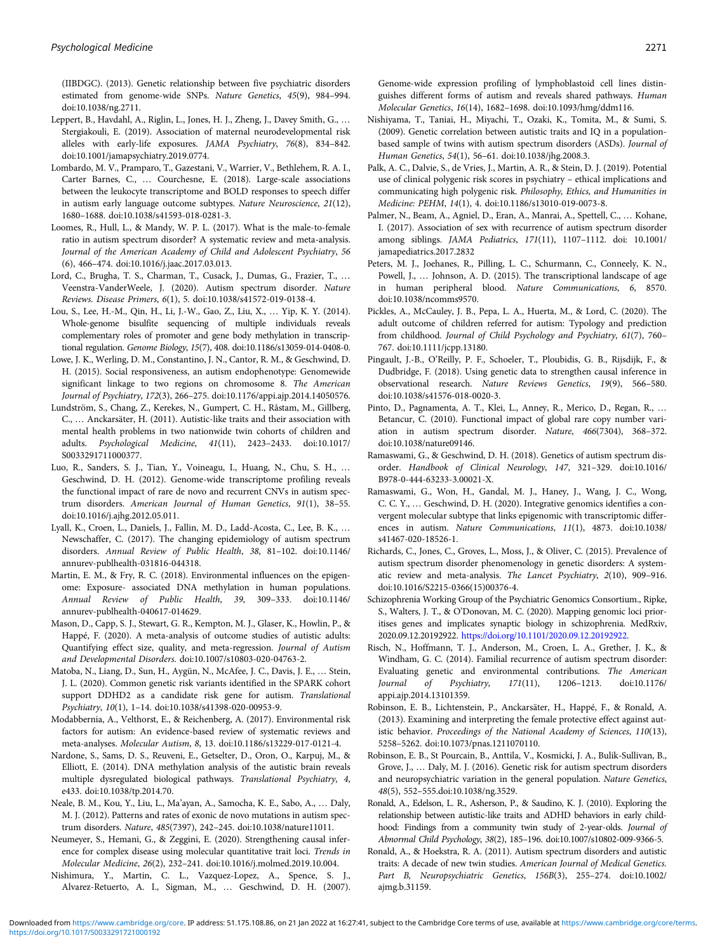<span id="page-11-0"></span>(IIBDGC). (2013). Genetic relationship between five psychiatric disorders estimated from genome-wide SNPs. Nature Genetics, 45(9), 984–994. doi:10.1038/ng.2711.

- Leppert, B., Havdahl, A., Riglin, L., Jones, H. J., Zheng, J., Davey Smith, G., … Stergiakouli, E. (2019). Association of maternal neurodevelopmental risk alleles with early-life exposures. JAMA Psychiatry, 76(8), 834–842. doi:10.1001/jamapsychiatry.2019.0774.
- Lombardo, M. V., Pramparo, T., Gazestani, V., Warrier, V., Bethlehem, R. A. I., Carter Barnes, C., … Courchesne, E. (2018). Large-scale associations between the leukocyte transcriptome and BOLD responses to speech differ in autism early language outcome subtypes. Nature Neuroscience, 21(12), 1680–1688. doi:10.1038/s41593-018-0281-3.
- Loomes, R., Hull, L., & Mandy, W. P. L. (2017). What is the male-to-female ratio in autism spectrum disorder? A systematic review and meta-analysis. Journal of the American Academy of Child and Adolescent Psychiatry, 56 (6), 466–474. doi:10.1016/j.jaac.2017.03.013.
- Lord, C., Brugha, T. S., Charman, T., Cusack, J., Dumas, G., Frazier, T., … Veenstra-VanderWeele, J. (2020). Autism spectrum disorder. Nature Reviews. Disease Primers, 6(1), 5. doi:10.1038/s41572-019-0138-4.
- Lou, S., Lee, H.-M., Qin, H., Li, J.-W., Gao, Z., Liu, X., … Yip, K. Y. (2014). Whole-genome bisulfite sequencing of multiple individuals reveals complementary roles of promoter and gene body methylation in transcriptional regulation. Genome Biology, 15(7), 408. doi:10.1186/s13059-014-0408-0.
- Lowe, J. K., Werling, D. M., Constantino, J. N., Cantor, R. M., & Geschwind, D. H. (2015). Social responsiveness, an autism endophenotype: Genomewide significant linkage to two regions on chromosome 8. The American Journal of Psychiatry, 172(3), 266–275. doi:10.1176/appi.ajp.2014.14050576.
- Lundström, S., Chang, Z., Kerekes, N., Gumpert, C. H., Råstam, M., Gillberg, C., … Anckarsäter, H. (2011). Autistic-like traits and their association with mental health problems in two nationwide twin cohorts of children and adults. Psychological Medicine, 41(11), 2423–2433. doi:10.1017/ S0033291711000377.
- Luo, R., Sanders, S. J., Tian, Y., Voineagu, I., Huang, N., Chu, S. H., … Geschwind, D. H. (2012). Genome-wide transcriptome profiling reveals the functional impact of rare de novo and recurrent CNVs in autism spectrum disorders. American Journal of Human Genetics, 91(1), 38–55. doi:10.1016/j.ajhg.2012.05.011.
- Lyall, K., Croen, L., Daniels, J., Fallin, M. D., Ladd-Acosta, C., Lee, B. K., … Newschaffer, C. (2017). The changing epidemiology of autism spectrum disorders. Annual Review of Public Health, 38, 81–102. doi:10.1146/ annurev-publhealth-031816-044318.
- Martin, E. M., & Fry, R. C. (2018). Environmental influences on the epigenome: Exposure- associated DNA methylation in human populations. Annual Review of Public Health, 39, 309–333. doi:10.1146/ annurev-publhealth-040617-014629.
- Mason, D., Capp, S. J., Stewart, G. R., Kempton, M. J., Glaser, K., Howlin, P., & Happé, F. (2020). A meta-analysis of outcome studies of autistic adults: Quantifying effect size, quality, and meta-regression. Journal of Autism and Developmental Disorders. doi:10.1007/s10803-020-04763-2.
- Matoba, N., Liang, D., Sun, H., Aygün, N., McAfee, J. C., Davis, J. E., … Stein, J. L. (2020). Common genetic risk variants identified in the SPARK cohort support DDHD2 as a candidate risk gene for autism. Translational Psychiatry, 10(1), 1–14. doi:10.1038/s41398-020-00953-9.
- Modabbernia, A., Velthorst, E., & Reichenberg, A. (2017). Environmental risk factors for autism: An evidence-based review of systematic reviews and meta-analyses. Molecular Autism, 8, 13. doi:10.1186/s13229-017-0121-4.
- Nardone, S., Sams, D. S., Reuveni, E., Getselter, D., Oron, O., Karpuj, M., & Elliott, E. (2014). DNA methylation analysis of the autistic brain reveals multiple dysregulated biological pathways. Translational Psychiatry, 4, e433. doi:10.1038/tp.2014.70.
- Neale, B. M., Kou, Y., Liu, L., Ma'ayan, A., Samocha, K. E., Sabo, A., … Daly, M. J. (2012). Patterns and rates of exonic de novo mutations in autism spectrum disorders. Nature, 485(7397), 242–245. doi:10.1038/nature11011.
- Neumeyer, S., Hemani, G., & Zeggini, E. (2020). Strengthening causal inference for complex disease using molecular quantitative trait loci. Trends in Molecular Medicine, 26(2), 232–241. doi:10.1016/j.molmed.2019.10.004.
- Nishimura, Y., Martin, C. L., Vazquez-Lopez, A., Spence, S. J., Alvarez-Retuerto, A. I., Sigman, M., … Geschwind, D. H. (2007).

Genome-wide expression profiling of lymphoblastoid cell lines distinguishes different forms of autism and reveals shared pathways. Human Molecular Genetics, 16(14), 1682–1698. doi:10.1093/hmg/ddm116.

- Nishiyama, T., Taniai, H., Miyachi, T., Ozaki, K., Tomita, M., & Sumi, S. (2009). Genetic correlation between autistic traits and IQ in a populationbased sample of twins with autism spectrum disorders (ASDs). Journal of Human Genetics, 54(1), 56–61. doi:10.1038/jhg.2008.3.
- Palk, A. C., Dalvie, S., de Vries, J., Martin, A. R., & Stein, D. J. (2019). Potential use of clinical polygenic risk scores in psychiatry – ethical implications and communicating high polygenic risk. Philosophy, Ethics, and Humanities in Medicine: PEHM, 14(1), 4. doi:10.1186/s13010-019-0073-8.
- Palmer, N., Beam, A., Agniel, D., Eran, A., Manrai, A., Spettell, C., … Kohane, I. (2017). Association of sex with recurrence of autism spectrum disorder among siblings. JAMA Pediatrics, 171(11), 1107–1112. doi: 10.1001/ jamapediatrics.2017.2832
- Peters, M. J., Joehanes, R., Pilling, L. C., Schurmann, C., Conneely, K. N., Powell, J., ... Johnson, A. D. (2015). The transcriptional landscape of age in human peripheral blood. Nature Communications, 6, 8570. doi:10.1038/ncomms9570.
- Pickles, A., McCauley, J. B., Pepa, L. A., Huerta, M., & Lord, C. (2020). The adult outcome of children referred for autism: Typology and prediction from childhood. Journal of Child Psychology and Psychiatry, 61(7), 760– 767. doi:10.1111/jcpp.13180.
- Pingault, J.-B., O'Reilly, P. F., Schoeler, T., Ploubidis, G. B., Rijsdijk, F., & Dudbridge, F. (2018). Using genetic data to strengthen causal inference in observational research. Nature Reviews Genetics, 19(9), 566–580. doi:10.1038/s41576-018-0020-3.
- Pinto, D., Pagnamenta, A. T., Klei, L., Anney, R., Merico, D., Regan, R., … Betancur, C. (2010). Functional impact of global rare copy number variation in autism spectrum disorder. Nature, 466(7304), 368–372. doi:10.1038/nature09146.
- Ramaswami, G., & Geschwind, D. H. (2018). Genetics of autism spectrum disorder. Handbook of Clinical Neurology, 147, 321–329. doi:10.1016/ B978-0-444-63233-3.00021-X.
- Ramaswami, G., Won, H., Gandal, M. J., Haney, J., Wang, J. C., Wong, C. C. Y., … Geschwind, D. H. (2020). Integrative genomics identifies a convergent molecular subtype that links epigenomic with transcriptomic differences in autism. Nature Communications, 11(1), 4873. doi:10.1038/ s41467-020-18526-1.
- Richards, C., Jones, C., Groves, L., Moss, J., & Oliver, C. (2015). Prevalence of autism spectrum disorder phenomenology in genetic disorders: A systematic review and meta-analysis. The Lancet Psychiatry, 2(10), 909–916. doi:10.1016/S2215-0366(15)00376-4.
- Schizophrenia Working Group of the Psychiatric Genomics Consortium., Ripke, S., Walters, J. T., & O'Donovan, M. C. (2020). Mapping genomic loci prioritises genes and implicates synaptic biology in schizophrenia. MedRxiv, 2020.09.12.20192922. <https://doi.org/10.1101/2020.09.12.20192922>.
- Risch, N., Hoffmann, T. J., Anderson, M., Croen, L. A., Grether, J. K., & Windham, G. C. (2014). Familial recurrence of autism spectrum disorder: Evaluating genetic and environmental contributions. The American Journal of Psychiatry, 171(11), 1206–1213. doi:10.1176/ appi.ajp.2014.13101359.
- Robinson, E. B., Lichtenstein, P., Anckarsäter, H., Happé, F., & Ronald, A. (2013). Examining and interpreting the female protective effect against autistic behavior. Proceedings of the National Academy of Sciences, 110(13), 5258–5262. doi:10.1073/pnas.1211070110.
- Robinson, E. B., St Pourcain, B., Anttila, V., Kosmicki, J. A., Bulik-Sullivan, B., Grove, J., … Daly, M. J. (2016). Genetic risk for autism spectrum disorders and neuropsychiatric variation in the general population. Nature Genetics, 48(5), 552–555.doi:10.1038/ng.3529.
- Ronald, A., Edelson, L. R., Asherson, P., & Saudino, K. J. (2010). Exploring the relationship between autistic-like traits and ADHD behaviors in early childhood: Findings from a community twin study of 2-year-olds. Journal of Abnormal Child Psychology, 38(2), 185–196. doi:10.1007/s10802-009-9366-5.
- Ronald, A., & Hoekstra, R. A. (2011). Autism spectrum disorders and autistic traits: A decade of new twin studies. American Journal of Medical Genetics. Part B, Neuropsychiatric Genetics, 156B(3), 255–274. doi:10.1002/ ajmg.b.31159.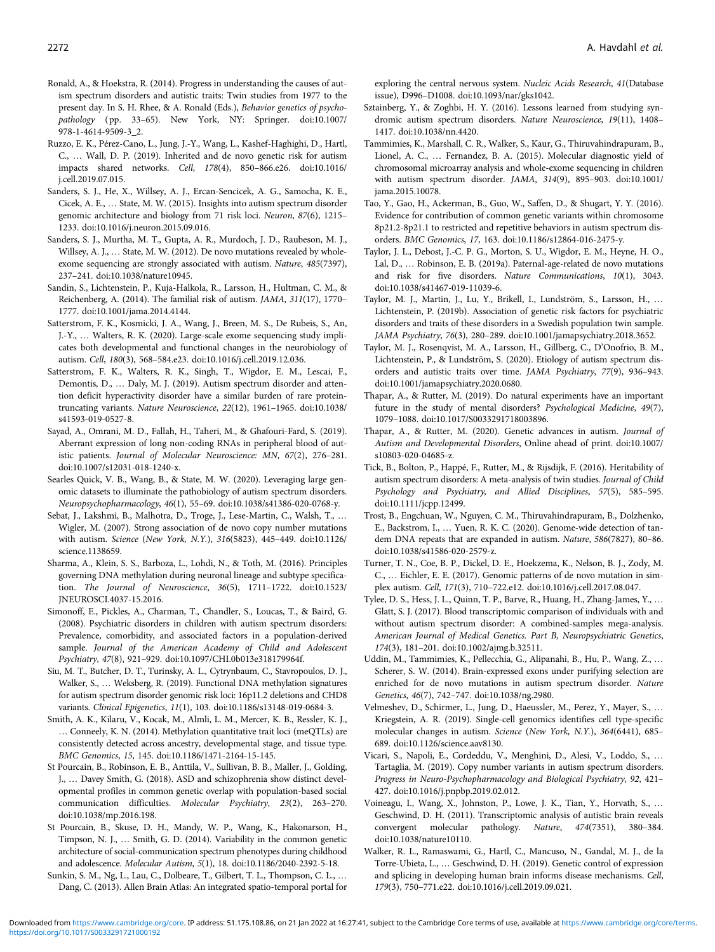- <span id="page-12-0"></span>Ronald, A., & Hoekstra, R. (2014). Progress in understanding the causes of autism spectrum disorders and autistic traits: Twin studies from 1977 to the present day. In S. H. Rhee, & A. Ronald (Eds.), Behavior genetics of psychopathology (pp. 33–65). New York, NY: Springer. doi:10.1007/ 978-1-4614-9509-3\_2.
- Ruzzo, E. K., Pérez-Cano, L., Jung, J.-Y., Wang, L., Kashef-Haghighi, D., Hartl, C., … Wall, D. P. (2019). Inherited and de novo genetic risk for autism impacts shared networks. Cell, 178(4), 850–866.e26. doi:10.1016/ j.cell.2019.07.015.
- Sanders, S. J., He, X., Willsey, A. J., Ercan-Sencicek, A. G., Samocha, K. E., Cicek, A. E., … State, M. W. (2015). Insights into autism spectrum disorder genomic architecture and biology from 71 risk loci. Neuron, 87(6), 1215– 1233. doi:10.1016/j.neuron.2015.09.016.
- Sanders, S. J., Murtha, M. T., Gupta, A. R., Murdoch, J. D., Raubeson, M. J., Willsey, A. J., ... State, M. W. (2012). De novo mutations revealed by wholeexome sequencing are strongly associated with autism. Nature, 485(7397), 237–241. doi:10.1038/nature10945.
- Sandin, S., Lichtenstein, P., Kuja-Halkola, R., Larsson, H., Hultman, C. M., & Reichenberg, A. (2014). The familial risk of autism. JAMA, 311(17), 1770– 1777. doi:10.1001/jama.2014.4144.
- Satterstrom, F. K., Kosmicki, J. A., Wang, J., Breen, M. S., De Rubeis, S., An, J.-Y., … Walters, R. K. (2020). Large-scale exome sequencing study implicates both developmental and functional changes in the neurobiology of autism. Cell, 180(3), 568–584.e23. doi:10.1016/j.cell.2019.12.036.
- Satterstrom, F. K., Walters, R. K., Singh, T., Wigdor, E. M., Lescai, F., Demontis, D., … Daly, M. J. (2019). Autism spectrum disorder and attention deficit hyperactivity disorder have a similar burden of rare proteintruncating variants. Nature Neuroscience, 22(12), 1961–1965. doi:10.1038/ s41593-019-0527-8.
- Sayad, A., Omrani, M. D., Fallah, H., Taheri, M., & Ghafouri-Fard, S. (2019). Aberrant expression of long non-coding RNAs in peripheral blood of autistic patients. Journal of Molecular Neuroscience: MN, 67(2), 276–281. doi:10.1007/s12031-018-1240-x.
- Searles Quick, V. B., Wang, B., & State, M. W. (2020). Leveraging large genomic datasets to illuminate the pathobiology of autism spectrum disorders. Neuropsychopharmacology, 46(1), 55–69. doi:10.1038/s41386-020-0768-y.
- Sebat, J., Lakshmi, B., Malhotra, D., Troge, J., Lese-Martin, C., Walsh, T., … Wigler, M. (2007). Strong association of de novo copy number mutations with autism. Science (New York, N.Y.), 316(5823), 445–449. doi:10.1126/ science.1138659.
- Sharma, A., Klein, S. S., Barboza, L., Lohdi, N., & Toth, M. (2016). Principles governing DNA methylation during neuronal lineage and subtype specification. The Journal of Neuroscience, 36(5), 1711–1722. doi:10.1523/ JNEUROSCI.4037-15.2016.
- Simonoff, E., Pickles, A., Charman, T., Chandler, S., Loucas, T., & Baird, G. (2008). Psychiatric disorders in children with autism spectrum disorders: Prevalence, comorbidity, and associated factors in a population-derived sample. Journal of the American Academy of Child and Adolescent Psychiatry, 47(8), 921–929. doi:10.1097/CHI.0b013e318179964f.
- Siu, M. T., Butcher, D. T., Turinsky, A. L., Cytrynbaum, C., Stavropoulos, D. J., Walker, S., … Weksberg, R. (2019). Functional DNA methylation signatures for autism spectrum disorder genomic risk loci: 16p11.2 deletions and CHD8 variants. Clinical Epigenetics, 11(1), 103. doi:10.1186/s13148-019-0684-3.
- Smith, A. K., Kilaru, V., Kocak, M., Almli, L. M., Mercer, K. B., Ressler, K. J., … Conneely, K. N. (2014). Methylation quantitative trait loci (meQTLs) are consistently detected across ancestry, developmental stage, and tissue type. BMC Genomics, 15, 145. doi:10.1186/1471-2164-15-145.
- St Pourcain, B., Robinson, E. B., Anttila, V., Sullivan, B. B., Maller, J., Golding, J., … Davey Smith, G. (2018). ASD and schizophrenia show distinct developmental profiles in common genetic overlap with population-based social communication difficulties. Molecular Psychiatry, 23(2), 263–270. doi:10.1038/mp.2016.198.
- St Pourcain, B., Skuse, D. H., Mandy, W. P., Wang, K., Hakonarson, H., Timpson, N. J., … Smith, G. D. (2014). Variability in the common genetic architecture of social-communication spectrum phenotypes during childhood and adolescence. Molecular Autism, 5(1), 18. doi:10.1186/2040-2392-5-18.
- Sunkin, S. M., Ng, L., Lau, C., Dolbeare, T., Gilbert, T. L., Thompson, C. L., … Dang, C. (2013). Allen Brain Atlas: An integrated spatio-temporal portal for

exploring the central nervous system. Nucleic Acids Research, 41(Database issue), D996–D1008. doi:10.1093/nar/gks1042.

- Sztainberg, Y., & Zoghbi, H. Y. (2016). Lessons learned from studying syndromic autism spectrum disorders. Nature Neuroscience, 19(11), 1408– 1417. doi:10.1038/nn.4420.
- Tammimies, K., Marshall, C. R., Walker, S., Kaur, G., Thiruvahindrapuram, B., Lionel, A. C., … Fernandez, B. A. (2015). Molecular diagnostic yield of chromosomal microarray analysis and whole-exome sequencing in children with autism spectrum disorder. JAMA, 314(9), 895–903. doi:10.1001/ jama.2015.10078.
- Tao, Y., Gao, H., Ackerman, B., Guo, W., Saffen, D., & Shugart, Y. Y. (2016). Evidence for contribution of common genetic variants within chromosome 8p21.2-8p21.1 to restricted and repetitive behaviors in autism spectrum disorders. BMC Genomics, 17, 163. doi:10.1186/s12864-016-2475-y.
- Taylor, J. L., Debost, J.-C. P. G., Morton, S. U., Wigdor, E. M., Heyne, H. O., Lal, D., … Robinson, E. B. (2019a). Paternal-age-related de novo mutations and risk for five disorders. Nature Communications, 10(1), 3043. doi:10.1038/s41467-019-11039-6.
- Taylor, M. J., Martin, J., Lu, Y., Brikell, I., Lundström, S., Larsson, H., … Lichtenstein, P. (2019b). Association of genetic risk factors for psychiatric disorders and traits of these disorders in a Swedish population twin sample. JAMA Psychiatry, 76(3), 280–289. doi:10.1001/jamapsychiatry.2018.3652.
- Taylor, M. J., Rosenqvist, M. A., Larsson, H., Gillberg, C., D'Onofrio, B. M., Lichtenstein, P., & Lundström, S. (2020). Etiology of autism spectrum disorders and autistic traits over time. JAMA Psychiatry, 77(9), 936–943. doi:10.1001/jamapsychiatry.2020.0680.
- Thapar, A., & Rutter, M. (2019). Do natural experiments have an important future in the study of mental disorders? Psychological Medicine, 49(7), 1079–1088. doi:10.1017/S0033291718003896.
- Thapar, A., & Rutter, M. (2020). Genetic advances in autism. Journal of Autism and Developmental Disorders, Online ahead of print. doi:10.1007/ s10803-020-04685-z.
- Tick, B., Bolton, P., Happé, F., Rutter, M., & Rijsdijk, F. (2016). Heritability of autism spectrum disorders: A meta-analysis of twin studies. Journal of Child Psychology and Psychiatry, and Allied Disciplines, 57(5), 585–595. doi:10.1111/jcpp.12499.
- Trost, B., Engchuan, W., Nguyen, C. M., Thiruvahindrapuram, B., Dolzhenko, E., Backstrom, I., … Yuen, R. K. C. (2020). Genome-wide detection of tandem DNA repeats that are expanded in autism. Nature, 586(7827), 80–86. doi:10.1038/s41586-020-2579-z.
- Turner, T. N., Coe, B. P., Dickel, D. E., Hoekzema, K., Nelson, B. J., Zody, M. C., … Eichler, E. E. (2017). Genomic patterns of de novo mutation in simplex autism. Cell, 171(3), 710–722.e12. doi:10.1016/j.cell.2017.08.047.
- Tylee, D. S., Hess, J. L., Quinn, T. P., Barve, R., Huang, H., Zhang-James, Y., … Glatt, S. J. (2017). Blood transcriptomic comparison of individuals with and without autism spectrum disorder: A combined-samples mega-analysis. American Journal of Medical Genetics. Part B, Neuropsychiatric Genetics, 174(3), 181–201. doi:10.1002/ajmg.b.32511.
- Uddin, M., Tammimies, K., Pellecchia, G., Alipanahi, B., Hu, P., Wang, Z., … Scherer, S. W. (2014). Brain-expressed exons under purifying selection are enriched for de novo mutations in autism spectrum disorder. Nature Genetics, 46(7), 742–747. doi:10.1038/ng.2980.
- Velmeshev, D., Schirmer, L., Jung, D., Haeussler, M., Perez, Y., Mayer, S., … Kriegstein, A. R. (2019). Single-cell genomics identifies cell type-specific molecular changes in autism. Science (New York, N.Y.), 364(6441), 685– 689. doi:10.1126/science.aav8130.
- Vicari, S., Napoli, E., Cordeddu, V., Menghini, D., Alesi, V., Loddo, S., … Tartaglia, M. (2019). Copy number variants in autism spectrum disorders. Progress in Neuro-Psychopharmacology and Biological Psychiatry, 92, 421– 427. doi:10.1016/j.pnpbp.2019.02.012.
- Voineagu, I., Wang, X., Johnston, P., Lowe, J. K., Tian, Y., Horvath, S., … Geschwind, D. H. (2011). Transcriptomic analysis of autistic brain reveals convergent molecular pathology. Nature, 474(7351), 380–384. doi:10.1038/nature10110.
- Walker, R. L., Ramaswami, G., Hartl, C., Mancuso, N., Gandal, M. J., de la Torre-Ubieta, L., … Geschwind, D. H. (2019). Genetic control of expression and splicing in developing human brain informs disease mechanisms. Cell, 179(3), 750–771.e22. doi:10.1016/j.cell.2019.09.021.